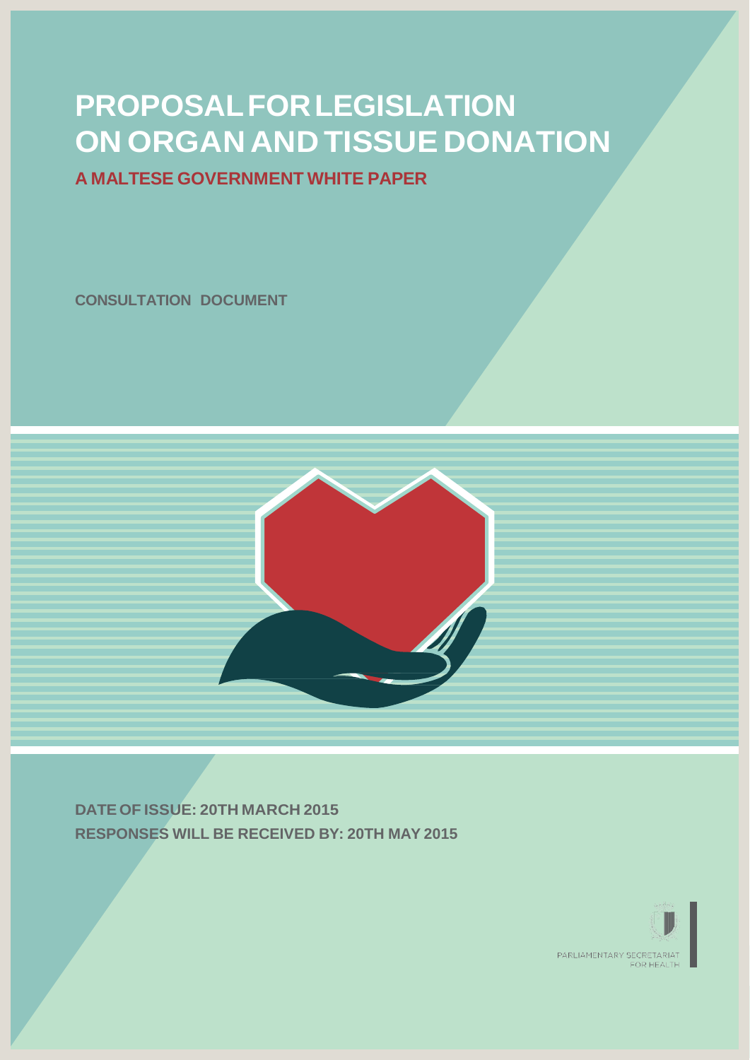# **PROPOSALFORLEGISLATION ON ORGAN AND TISSUE DONATION**

## **A MALTESE GOVERNMENT WHITE PAPER**

**CONSULTATION DOCUMENT**



**DATE OF ISSUE: 20TH MARCH 2015 RESPONSES WILL BE RECEIVED BY: 20TH MAY 2015**

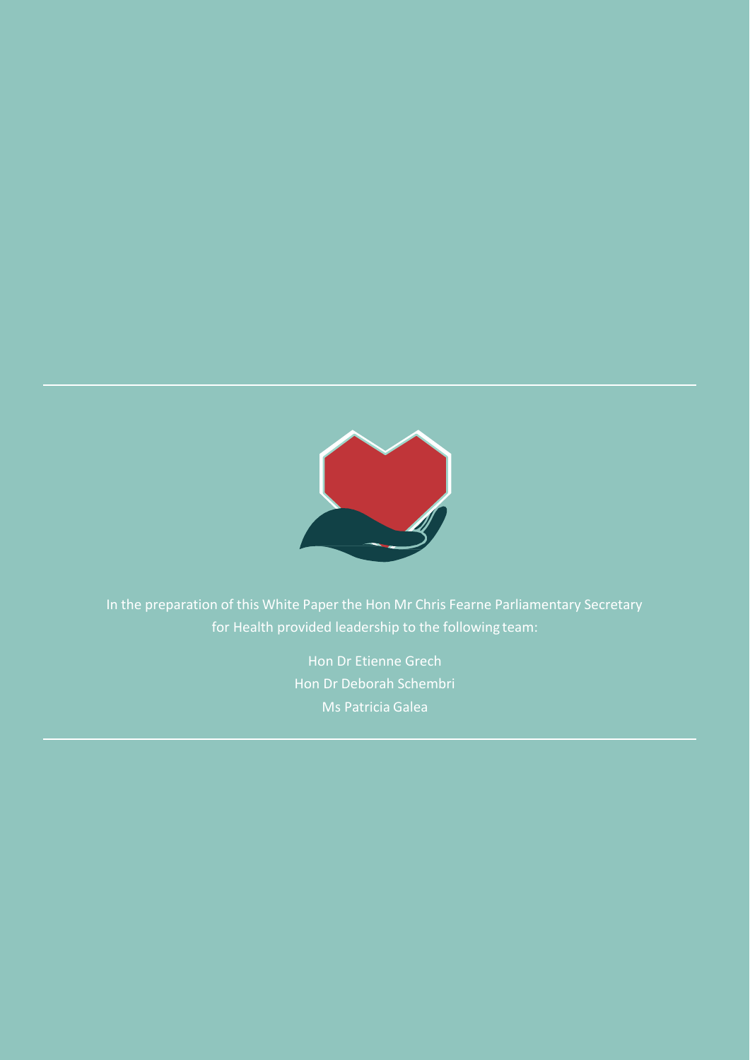

In the preparation of this White Paper the Hon Mr Chris Fearne Parliamentary Secretary for Health provided leadership to the following team:

> Hon Dr Etienne Grech Hon Dr Deborah Schembri Ms Patricia Galea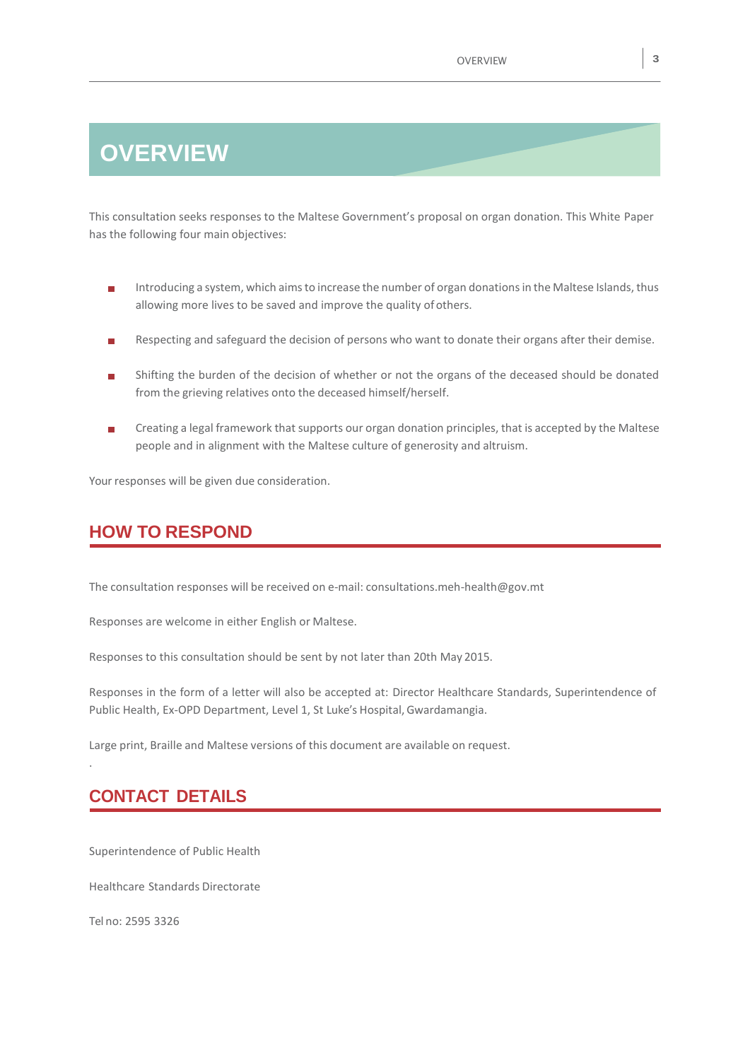## **OVERVIEW**

This consultation seeks responses to the Maltese Government's proposal on organ donation. This White Paper has the following four main objectives:

- Introducing a system, which aimsto increase the number of organ donationsin the Maltese Islands, thus m, allowing more lives to be saved and improve the quality of others.
- Respecting and safeguard the decision of persons who want to donate their organs after their demise. П
- Shifting the burden of the decision of whether or not the organs of the deceased should be donated m. from the grieving relatives onto the deceased himself/herself.
- Creating a legal framework that supports our organ donation principles, that is accepted by the Maltese  $\blacksquare$ people and in alignment with the Maltese culture of generosity and altruism.

Your responses will be given due consideration.

## **HOW TO RESPOND**

The consultation responses will be received on e-mail: [consultations.meh-health@gov.mt](mailto:consultations.meh-health@gov.mt)

Responses are welcome in either English or Maltese.

Responses to this consultation should be sent by not later than 20th May 2015.

Responses in the form of a letter will also be accepted at: Director Healthcare Standards, Superintendence of Public Health, Ex-OPD Department, Level 1, St Luke's Hospital,Gwardamangia.

Large print, Braille and Maltese versions of this document are available on request.

## **CONTACT DETAILS**

Superintendence of Public Health

Healthcare Standards Directorate

Tel no: 2595 3326

.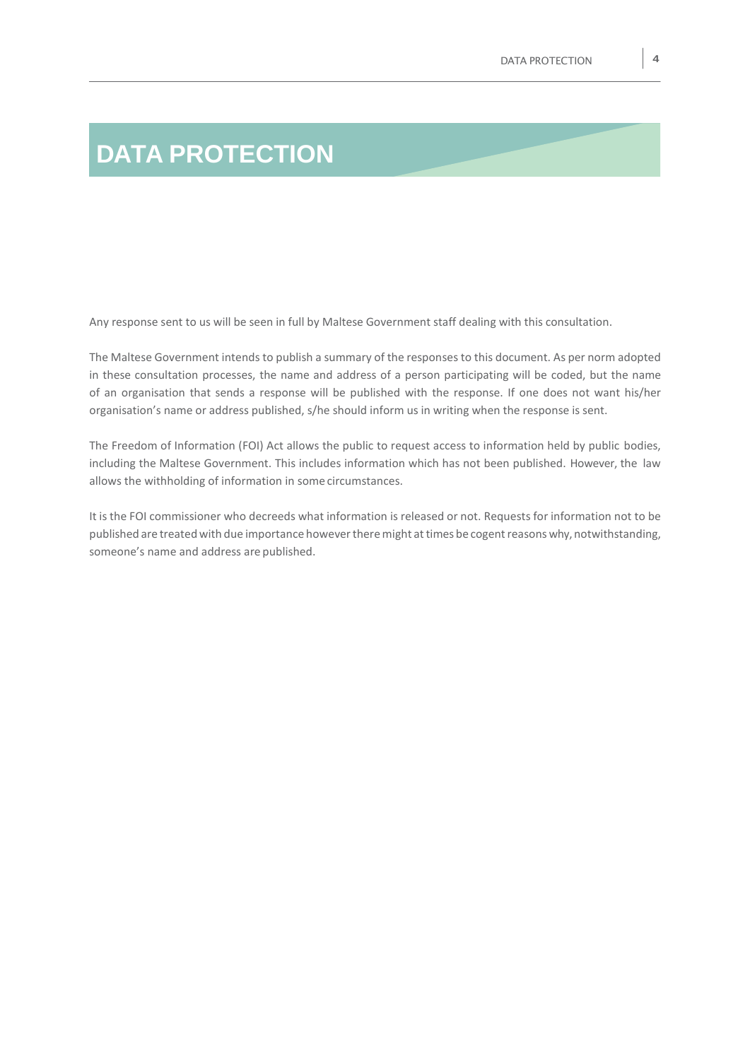# **DATA PROTECTION**

Any response sent to us will be seen in full by Maltese Government staff dealing with this consultation.

The Maltese Government intends to publish a summary of the responses to this document. As per norm adopted in these consultation processes, the name and address of a person participating will be coded, but the name of an organisation that sends a response will be published with the response. If one does not want his/her organisation's name or address published, s/he should inform us in writing when the response is sent.

The Freedom of Information (FOI) Act allows the public to request access to information held by public bodies, including the Maltese Government. This includes information which has not been published. However, the law allows the withholding of information in some circumstances.

It is the FOI commissioner who decreeds what information is released or not. Requests for information not to be published are treated with due importance however there might at times be cogent reasons why, notwithstanding, someone's name and address are published.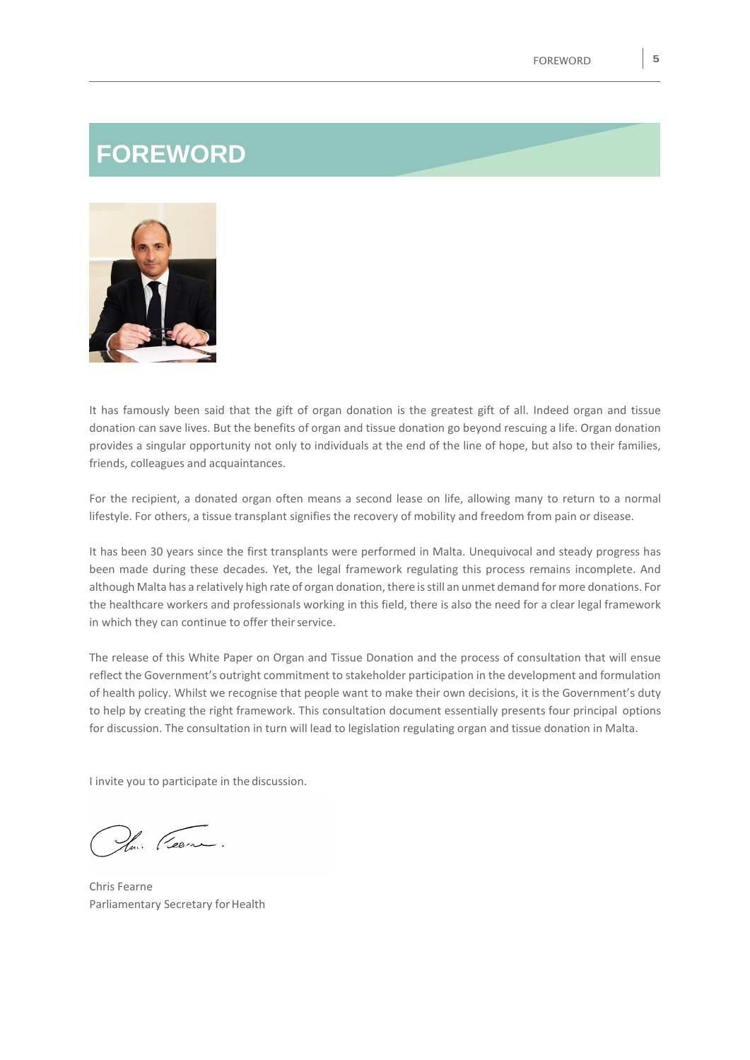## **FOREWORD**



It has famously been said that the gift of organ donation is the greatest gift of all. Indeed organ and tissue donation can save lives. But the benefits of organ and tissue donation go beyond rescuing a life. Organ donation provides a singular opportunity not only to individuals at the end of the line of hope, but also to their families, friends, colleagues and acquaintances.

For the recipient, a donated organ often means a second lease on life, allowing many to return to a normal lifestyle. For others, a tissue transplant signifies the recovery of mobility and freedom from pain or disease.

It has been 30 years since the first transplants were performed in Malta. Unequivocal and steady progress has been made during these decades. Yet, the legal framework regulating this process remains incomplete. And although Malta has a relatively high rate of organ donation, there is still an unmet demand for more donations. For the healthcare workers and professionals working in this field, there is also the need for a clear legal framework in which they can continue to offer their service.

The release of this White Paper on Organ and Tissue Donation and the process of consultation that will ensue reflect the Government's outright commitment to stakeholder participation in the development and formulation of health policy. Whilst we recognise that people want to make their own decisions, it is the Government's duty to help by creating the right framework. This consultation document essentially presents four principal options for discussion. The consultation in turn will lead to legislation regulating organ and tissue donation in Malta.

I invite you to participate in the discussion.

lui (Leone.

Chris Fearne Parliamentary Secretary for Health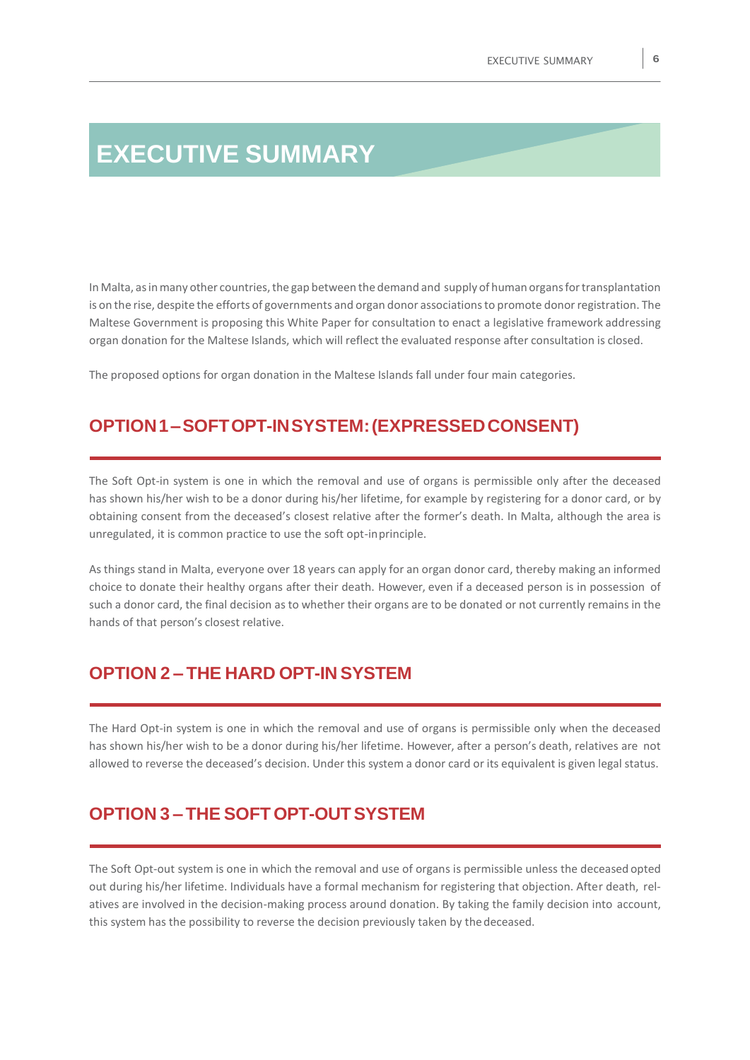## **EXECUTIVE SUMMARY**

In Malta, as in many other countries, the gap between the demand and supply of human organs for transplantation is on the rise, despite the efforts of governments and organ donor associationsto promote donorregistration. The Maltese Government is proposing this White Paper for consultation to enact a legislative framework addressing organ donation for the Maltese Islands, which will reflect the evaluated response after consultation is closed.

The proposed options for organ donation in the Maltese Islands fall under four main categories.

### **OPTION1–SOFTOPT-INSYSTEM:(EXPRESSEDCONSENT)**

The Soft Opt-in system is one in which the removal and use of organs is permissible only after the deceased has shown his/her wish to be a donor during his/her lifetime, for example by registering for a donor card, or by obtaining consent from the deceased's closest relative after the former's death. In Malta, although the area is unregulated, it is common practice to use the soft opt-inprinciple.

As things stand in Malta, everyone over 18 years can apply for an organ donor card, thereby making an informed choice to donate their healthy organs after their death. However, even if a deceased person is in possession of such a donor card, the final decision as to whether their organs are to be donated or not currently remains in the hands of that person's closest relative.

## **OPTION 2 – THE HARD OPT-IN SYSTEM**

The Hard Opt-in system is one in which the removal and use of organs is permissible only when the deceased has shown his/her wish to be a donor during his/her lifetime. However, after a person's death, relatives are not allowed to reverse the deceased's decision. Under this system a donor card or its equivalent is given legal status.

## **OPTION 3 – THE SOFT OPT-OUTSYSTEM**

The Soft Opt-out system is one in which the removal and use of organs is permissible unless the deceased opted out during his/her lifetime. Individuals have a formal mechanism for registering that objection. After death, relatives are involved in the decision-making process around donation. By taking the family decision into account, this system has the possibility to reverse the decision previously taken by thedeceased.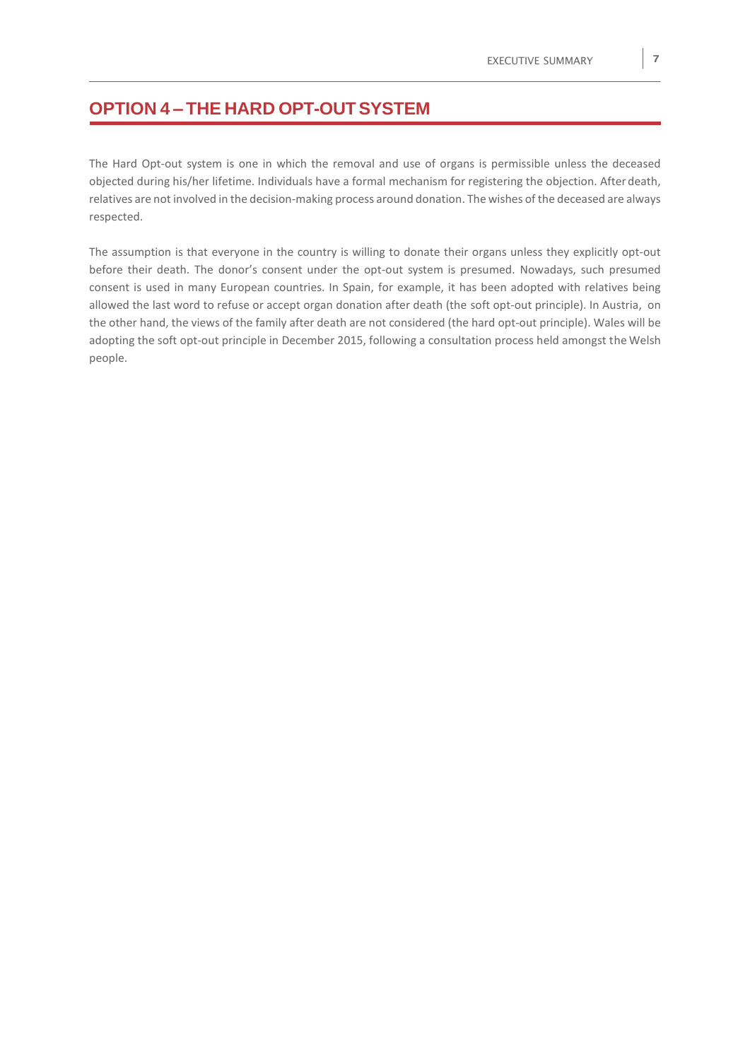## **OPTION 4 – THE HARD OPT-OUTSYSTEM**

The Hard Opt-out system is one in which the removal and use of organs is permissible unless the deceased objected during his/her lifetime. Individuals have a formal mechanism for registering the objection. After death, relatives are not involved in the decision-making process around donation. The wishes of the deceased are always respected.

The assumption is that everyone in the country is willing to donate their organs unless they explicitly opt-out before their death. The donor's consent under the opt-out system is presumed. Nowadays, such presumed consent is used in many European countries. In Spain, for example, it has been adopted with relatives being allowed the last word to refuse or accept organ donation after death (the soft opt-out principle). In Austria, on the other hand, the views of the family after death are not considered (the hard opt-out principle). Wales will be adopting the soft opt-out principle in December 2015, following a consultation process held amongst the Welsh people.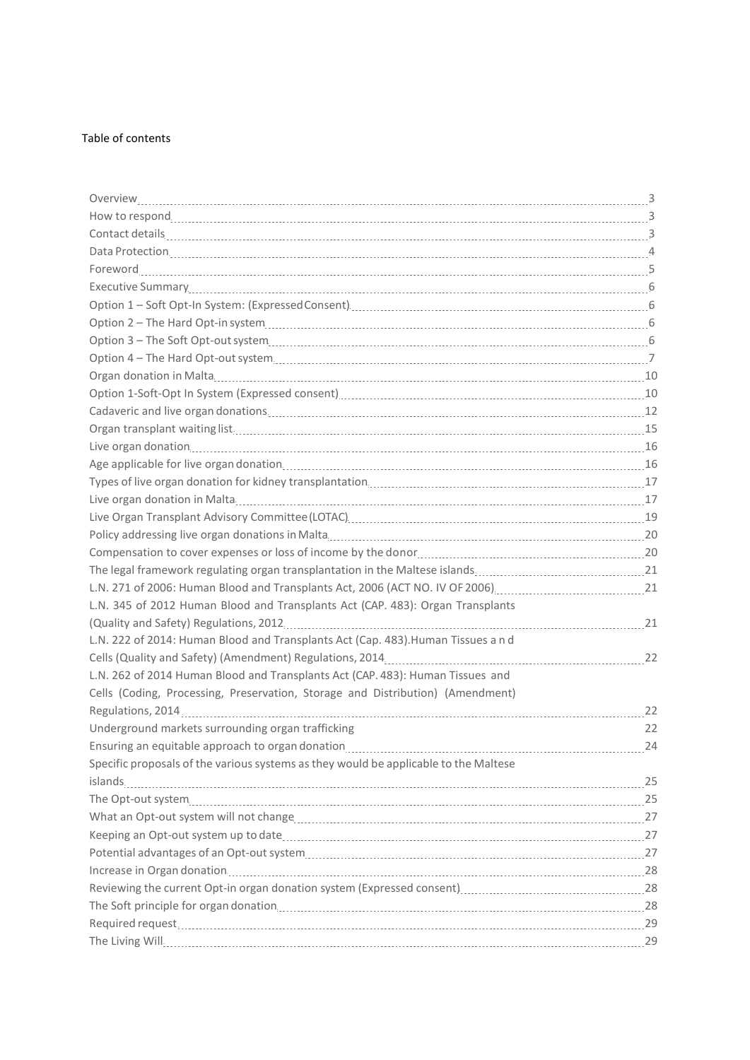#### Table of contents

| Option 1-Soft-Opt In System (Expressed consent) [11] The Constant Constant Constant Constant Constant Constant |    |
|----------------------------------------------------------------------------------------------------------------|----|
|                                                                                                                |    |
|                                                                                                                |    |
|                                                                                                                |    |
|                                                                                                                |    |
|                                                                                                                |    |
|                                                                                                                |    |
|                                                                                                                |    |
|                                                                                                                |    |
|                                                                                                                |    |
|                                                                                                                |    |
|                                                                                                                |    |
| L.N. 345 of 2012 Human Blood and Transplants Act (CAP. 483): Organ Transplants                                 |    |
|                                                                                                                |    |
| L.N. 222 of 2014: Human Blood and Transplants Act (Cap. 483). Human Tissues and                                |    |
|                                                                                                                |    |
| L.N. 262 of 2014 Human Blood and Transplants Act (CAP. 483): Human Tissues and                                 |    |
| Cells (Coding, Processing, Preservation, Storage and Distribution) (Amendment)                                 |    |
|                                                                                                                | 22 |
| Underground markets surrounding organ trafficking                                                              | 22 |
|                                                                                                                |    |
| Specific proposals of the various systems as they would be applicable to the Maltese                           |    |
|                                                                                                                |    |
|                                                                                                                |    |
|                                                                                                                |    |
|                                                                                                                |    |
|                                                                                                                |    |
|                                                                                                                |    |
|                                                                                                                |    |
|                                                                                                                |    |
|                                                                                                                |    |
| The Living Will. 29                                                                                            |    |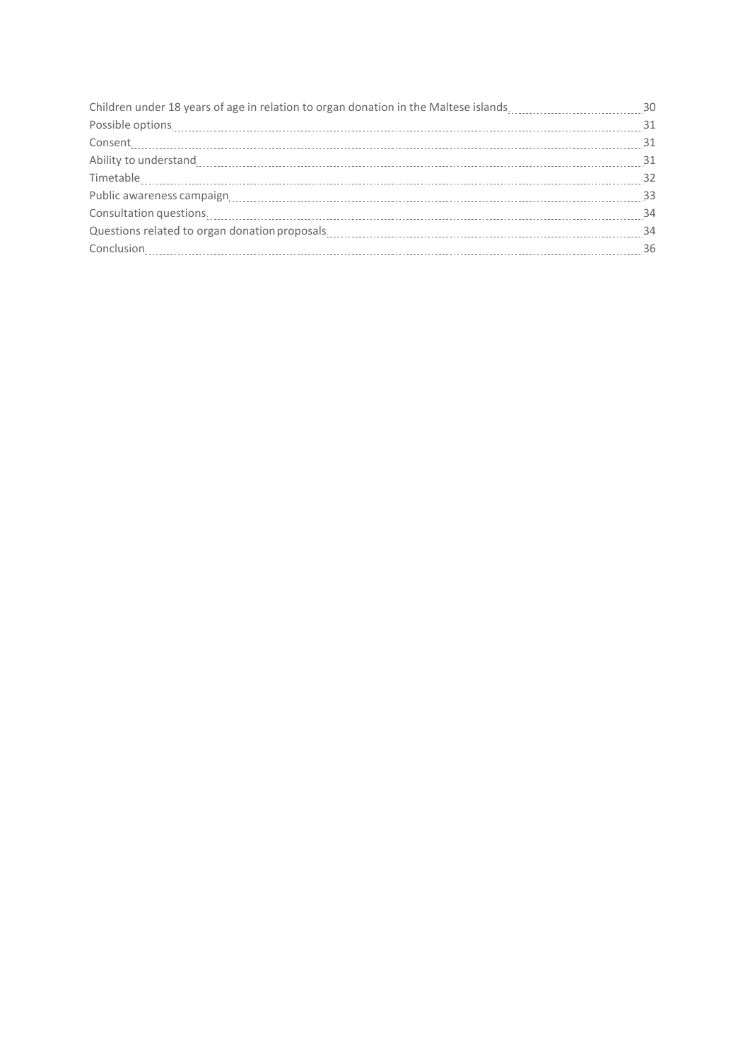| Children under 18 years of age in relation to organ donation in the Maltese islands30                                                                                                                                                                                                                                                                                                                      |  |
|------------------------------------------------------------------------------------------------------------------------------------------------------------------------------------------------------------------------------------------------------------------------------------------------------------------------------------------------------------------------------------------------------------|--|
| $\textbf{Posible options.} \label{eq:posible} \vspace{-0.05cm} \vspace{-0.05cm} \vspace{-0.05cm} \vspace{-0.05cm} \vspace{-0.05cm} \vspace{-0.05cm} \vspace{-0.05cm} \vspace{-0.05cm} \vspace{-0.05cm} \vspace{-0.05cm} \vspace{-0.05cm} \vspace{-0.05cm} \vspace{-0.05cm} \vspace{-0.05cm} \vspace{-0.05cm} \vspace{-0.05cm} \vspace{-0.05cm} \vspace{-0.05cm} \vspace{-0.05cm} \vspace{-0.05cm} \vspace$ |  |
|                                                                                                                                                                                                                                                                                                                                                                                                            |  |
|                                                                                                                                                                                                                                                                                                                                                                                                            |  |
|                                                                                                                                                                                                                                                                                                                                                                                                            |  |
|                                                                                                                                                                                                                                                                                                                                                                                                            |  |
| Consultation questions. 24                                                                                                                                                                                                                                                                                                                                                                                 |  |
|                                                                                                                                                                                                                                                                                                                                                                                                            |  |
|                                                                                                                                                                                                                                                                                                                                                                                                            |  |
|                                                                                                                                                                                                                                                                                                                                                                                                            |  |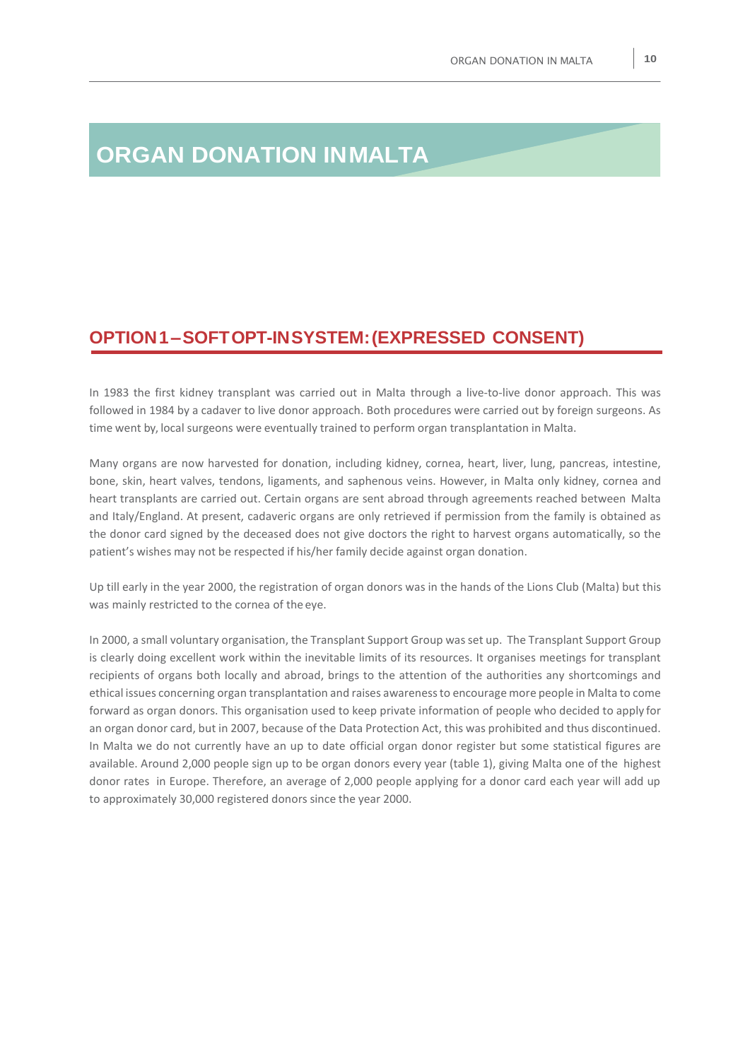## **ORGAN DONATION INMALTA**

### **OPTION1–SOFTOPT-INSYSTEM:(EXPRESSED CONSENT)**

In 1983 the first kidney transplant was carried out in Malta through a live-to-live donor approach. This was followed in 1984 by a cadaver to live donor approach. Both procedures were carried out by foreign surgeons. As time went by, local surgeons were eventually trained to perform organ transplantation in Malta.

Many organs are now harvested for donation, including kidney, cornea, heart, liver, lung, pancreas, intestine, bone, skin, heart valves, tendons, ligaments, and saphenous veins. However, in Malta only kidney, cornea and heart transplants are carried out. Certain organs are sent abroad through agreements reached between Malta and Italy/England. At present, cadaveric organs are only retrieved if permission from the family is obtained as the donor card signed by the deceased does not give doctors the right to harvest organs automatically, so the patient's wishes may not be respected if his/her family decide against organ donation.

Up till early in the year 2000, the registration of organ donors was in the hands of the Lions Club (Malta) but this was mainly restricted to the cornea of the eye.

In 2000, a small voluntary organisation, the Transplant Support Group wasset up. The Transplant Support Group is clearly doing excellent work within the inevitable limits of its resources. It organises meetings for transplant recipients of organs both locally and abroad, brings to the attention of the authorities any shortcomings and ethical issues concerning organ transplantation and raises awarenessto encourage more people in Malta to come forward as organ donors. This organisation used to keep private information of people who decided to apply for an organ donor card, but in 2007, because of the Data Protection Act, this was prohibited and thus discontinued. In Malta we do not currently have an up to date official organ donor register but some statistical figures are available. Around 2,000 people sign up to be organ donors every year (table 1), giving Malta one of the highest donor rates in Europe. Therefore, an average of 2,000 people applying for a donor card each year will add up to approximately 30,000 registered donors since the year 2000.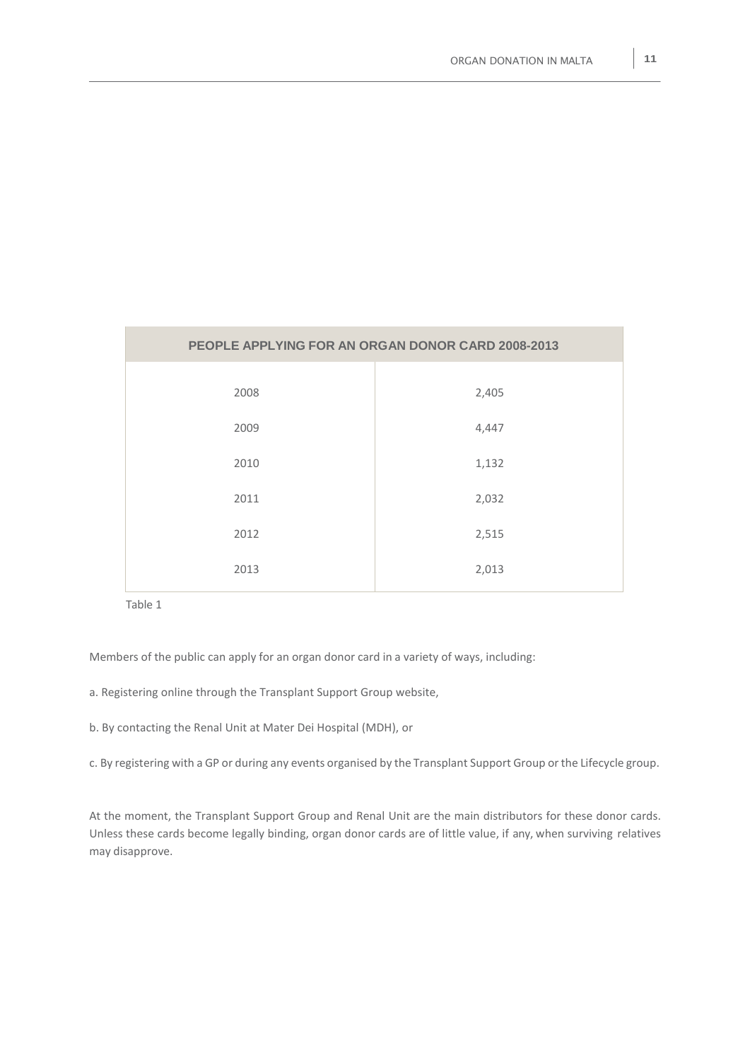| PEOPLE APPLYING FOR AN ORGAN DONOR CARD 2008-2013 |       |  |  |  |  |
|---------------------------------------------------|-------|--|--|--|--|
| 2008                                              | 2,405 |  |  |  |  |
| 2009                                              | 4,447 |  |  |  |  |
| 2010                                              | 1,132 |  |  |  |  |
| 2011                                              | 2,032 |  |  |  |  |
| 2012                                              | 2,515 |  |  |  |  |
| 2013                                              | 2,013 |  |  |  |  |

Table 1

Members of the public can apply for an organ donor card in a variety of ways, including:

a. Registering online through the Transplant Support Group website,

b. By contacting the Renal Unit at Mater Dei Hospital (MDH), or

c. By registering with a GP or during any events organised by the Transplant Support Group orthe Lifecycle group.

At the moment, the Transplant Support Group and Renal Unit are the main distributors for these donor cards. Unless these cards become legally binding, organ donor cards are of little value, if any, when surviving relatives may disapprove.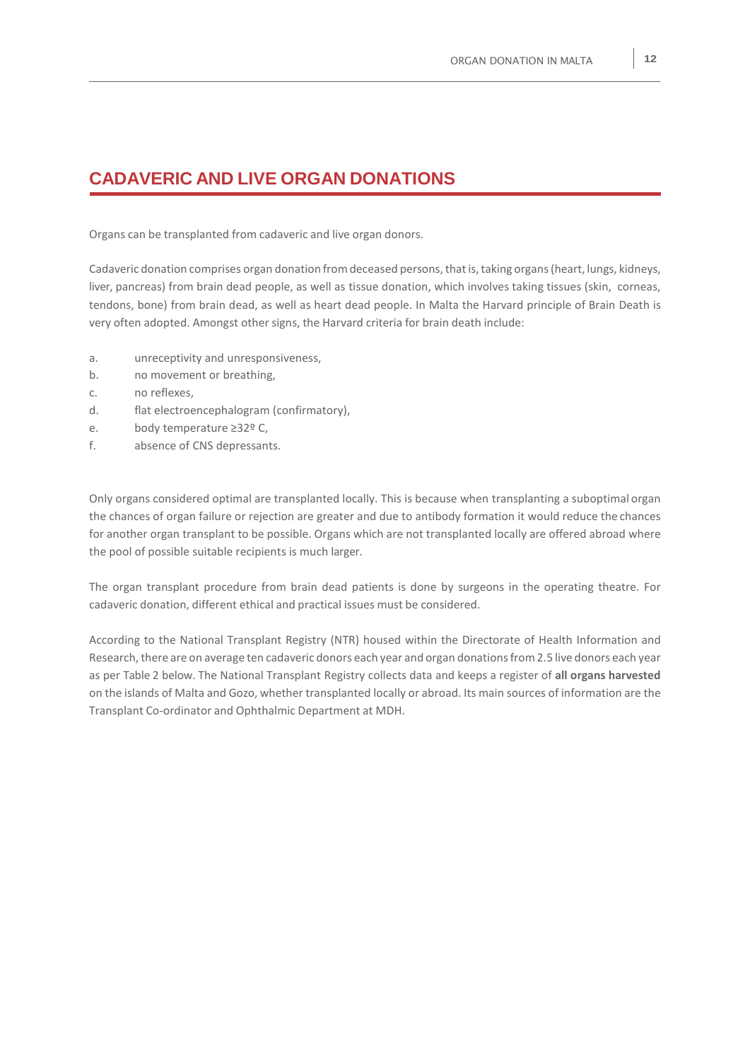### **CADAVERIC AND LIVE ORGAN DONATIONS**

Organs can be transplanted from cadaveric and live organ donors.

Cadaveric donation comprises organ donation from deceased persons, that is, taking organs (heart, lungs, kidneys, liver, pancreas) from brain dead people, as well as tissue donation, which involves taking tissues (skin, corneas, tendons, bone) from brain dead, as well as heart dead people. In Malta the Harvard principle of Brain Death is very often adopted. Amongst other signs, the Harvard criteria for brain death include:

- a. unreceptivity and unresponsiveness,
- b. no movement or breathing,
- c. no reflexes,
- d. flat electroencephalogram (confirmatory),
- e. body temperature ≥32º C,
- f. absence of CNS depressants.

Only organs considered optimal are transplanted locally. This is because when transplanting a suboptimal organ the chances of organ failure or rejection are greater and due to antibody formation it would reduce the chances for another organ transplant to be possible. Organs which are not transplanted locally are offered abroad where the pool of possible suitable recipients is much larger.

The organ transplant procedure from brain dead patients is done by surgeons in the operating theatre. For cadaveric donation, different ethical and practical issues must be considered.

According to the National Transplant Registry (NTR) housed within the Directorate of Health Information and Research, there are on average ten cadaveric donors each year and organ donations from 2.5 live donors each year as per Table 2 below. The National Transplant Registry collects data and keeps a register of **all organs harvested** on the islands of Malta and Gozo, whether transplanted locally or abroad. Its main sources of information are the Transplant Co-ordinator and Ophthalmic Department at MDH.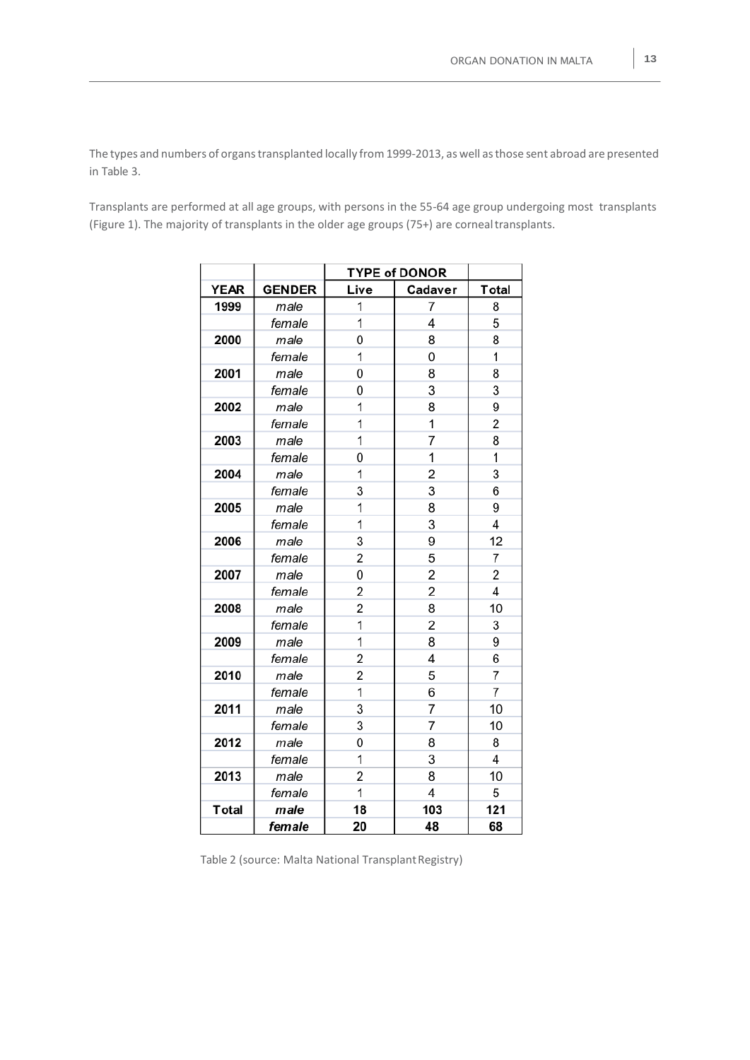The types and numbers of organs transplanted locally from 1999-2013, as well as those sent abroad are presented in Table 3.

Transplants are performed at all age groups, with persons in the 55-64 age group undergoing most transplants (Figure 1). The majority of transplants in the older age groups (75+) are cornealtransplants.

|             |               | <b>TYPE of DONOR</b> |                |                         |
|-------------|---------------|----------------------|----------------|-------------------------|
| <b>YEAR</b> | <b>GENDER</b> | Live                 | Cadaver        | <b>Total</b>            |
| 1999        | male          | 1                    | 7              | 8                       |
|             | female        | $\overline{1}$       | 4              | 5                       |
| 2000        | male          | 0                    | 8              | 8                       |
|             | female        | 1                    | 0              | 1                       |
| 2001        | male          | 0                    | 8              | 8                       |
|             | female        | 0                    | 3              | 3                       |
| 2002        | male          | 1                    | 8              | 9                       |
|             | female        | 1                    | 1              | $\overline{2}$          |
| 2003        | male          | 1                    | 7              | 8                       |
|             | female        | 0                    | 1              | 1                       |
| 2004        | male          | 1                    | $\overline{c}$ | 3                       |
|             | female        | 3                    | 3              | 6                       |
| 2005        | male          | 1                    | 8              | 9                       |
|             | female        | 1                    | 3              | 4                       |
| 2006        | male          | 3                    | 9              | 12                      |
|             | female        | $\overline{2}$       | 5              | 7                       |
| 2007        | male          | 0                    | $\overline{2}$ | 2                       |
|             | female        | 2                    | $\overline{c}$ | $\overline{\mathbf{4}}$ |
| 2008        | male          | 2                    | 8              | 10                      |
|             | female        | 1                    | 2              | 3                       |
| 2009        | male          | 1                    | 8              | 9                       |
|             | female        | $\overline{2}$       | 4              | 6                       |
| 2010        | male          | 2                    | 5              | 7                       |
|             | female        | $\overline{1}$       | 6              | $\overline{7}$          |
| 2011        | male          | 3                    | $\overline{7}$ | 10                      |
|             | female        | 3                    | 7              | 10                      |
| 2012        | male          | 0                    | 8              | 8                       |
|             | female        | 1                    | 3              | 4                       |
| 2013        | male          | 2                    | 8              | 10                      |
|             | female        | 1                    | 4              | 5                       |
| Total       | male          | 18                   | 103            | 121                     |
|             | female        | 20                   | 48             | 68                      |

Table 2 (source: Malta National Transplant Registry)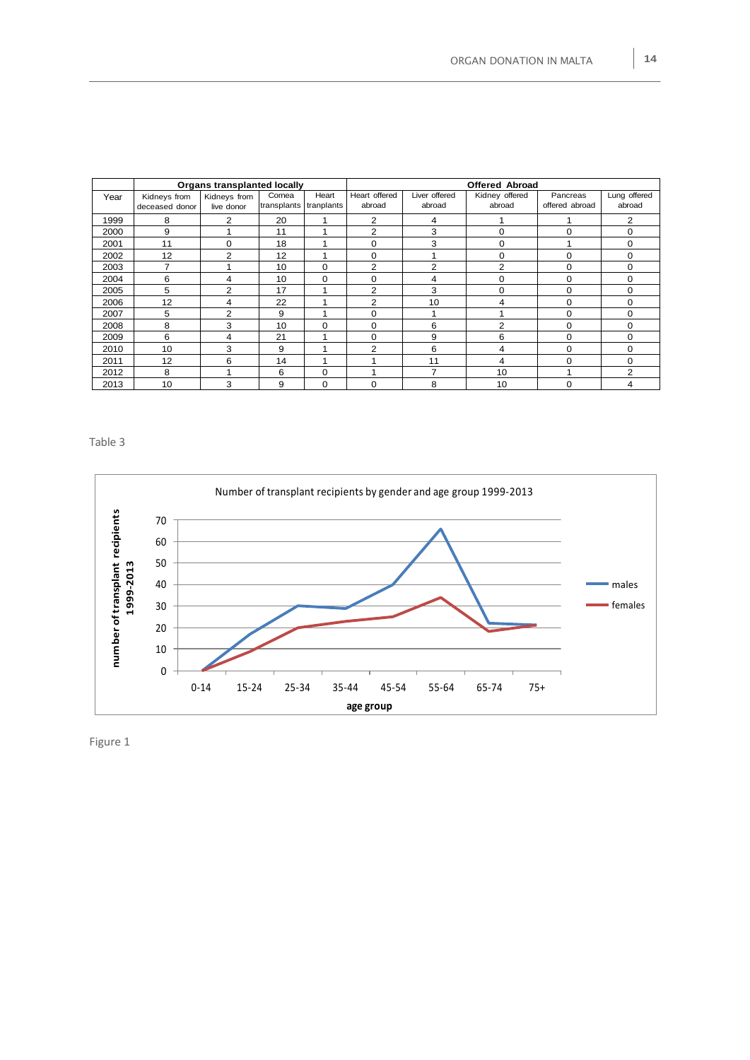|      | <b>Organs transplanted locally</b> |                |             |            | <b>Offered Abroad</b> |                |                |                |              |
|------|------------------------------------|----------------|-------------|------------|-----------------------|----------------|----------------|----------------|--------------|
| Year | Kidneys from                       | Kidneys from   | Cornea      | Heart      | Heart offered         | Liver offered  | Kidney offered | Pancreas       | Lung offered |
|      | deceased donor                     | live donor     | transplants | tranplants | abroad                | abroad         | abroad         | offered abroad | abroad       |
| 1999 | 8                                  | $\overline{2}$ | 20          |            | $\overline{2}$        | 4              |                |                | 2            |
| 2000 | 9                                  |                | 11          |            | 2                     | 3              | 0              | 0              | 0            |
| 2001 | 11                                 | 0              | 18          |            | 0                     | 3              | 0              |                | $\Omega$     |
| 2002 | 12                                 | 2              | 12          |            | 0                     |                | 0              | 0              | 0            |
| 2003 | 7                                  |                | 10          | $\Omega$   | $\overline{2}$        | $\overline{2}$ | 2              | 0              | $\Omega$     |
| 2004 | 6                                  | 4              | 10          | $\Omega$   | $\Omega$              | 4              | 0              | 0              | $\Omega$     |
| 2005 | 5                                  | 2              | 17          |            | $\overline{2}$        | 3              | 0              | $\Omega$       | $\Omega$     |
| 2006 | 12                                 | 4              | 22          |            | $\overline{2}$        | 10             | 4              | $\Omega$       | 0            |
| 2007 | 5                                  | $\overline{2}$ | 9           |            | $\Omega$              |                |                | $\Omega$       | 0            |
| 2008 | 8                                  | 3              | 10          | $\Omega$   | $\Omega$              | 6              | $\overline{2}$ | $\Omega$       | 0            |
| 2009 | 6                                  | 4              | 21          |            | $\Omega$              | 9              | 6              | $\Omega$       | $\Omega$     |
| 2010 | 10                                 | 3              | 9           |            | $\overline{2}$        | 6              | 4              | 0              | 0            |
| 2011 | 12                                 | 6              | 14          | ٠          |                       | 11             | 4              | $\Omega$       | $\Omega$     |
| 2012 | 8                                  |                | 6           | $\Omega$   |                       | $\overline{ }$ | 10             |                | 2            |
| 2013 | 10                                 | 3              | 9           | $\Omega$   | $\Omega$              | 8              | 10             | 0              | 4            |

Table 3



Figure 1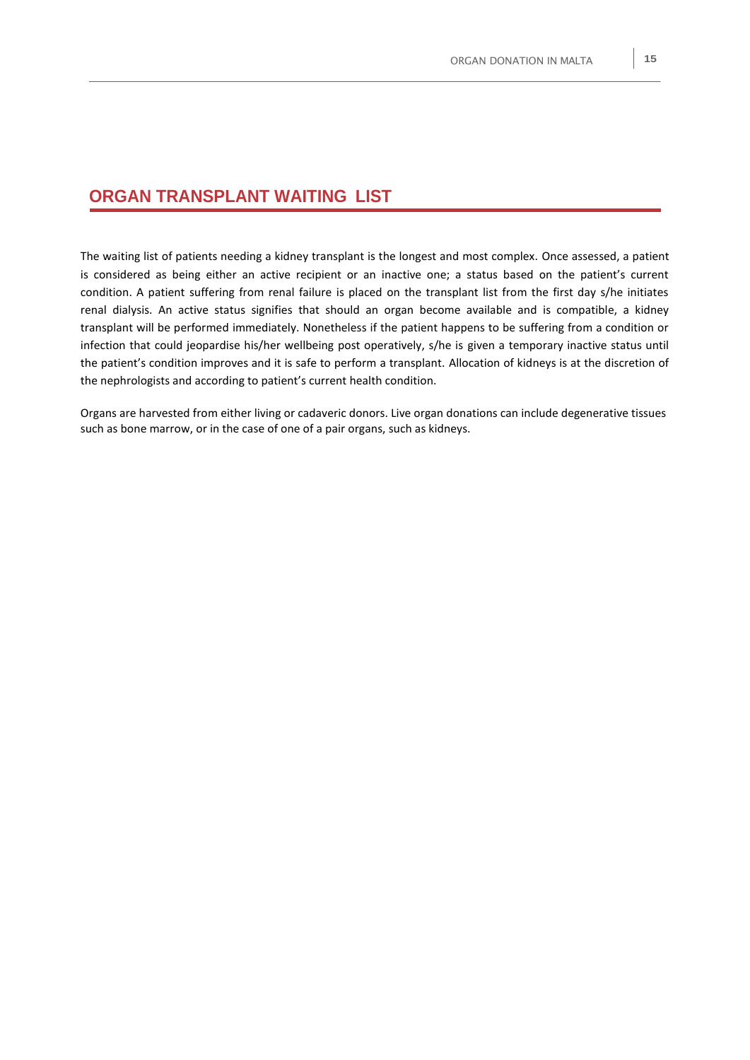### **ORGAN TRANSPLANT WAITING LIST**

The waiting list of patients needing a kidney transplant is the longest and most complex. Once assessed, a patient is considered as being either an active recipient or an inactive one; a status based on the patient's current condition. A patient suffering from renal failure is placed on the transplant list from the first day s/he initiates renal dialysis. An active status signifies that should an organ become available and is compatible, a kidney transplant will be performed immediately. Nonetheless if the patient happens to be suffering from a condition or infection that could jeopardise his/her wellbeing post operatively, s/he is given a temporary inactive status until the patient's condition improves and it is safe to perform a transplant. Allocation of kidneys is at the discretion of the nephrologists and according to patient's current health condition.

Organs are harvested from either living or cadaveric donors. Live organ donations can include degenerative tissues such as bone marrow, or in the case of one of a pair organs, such as kidneys.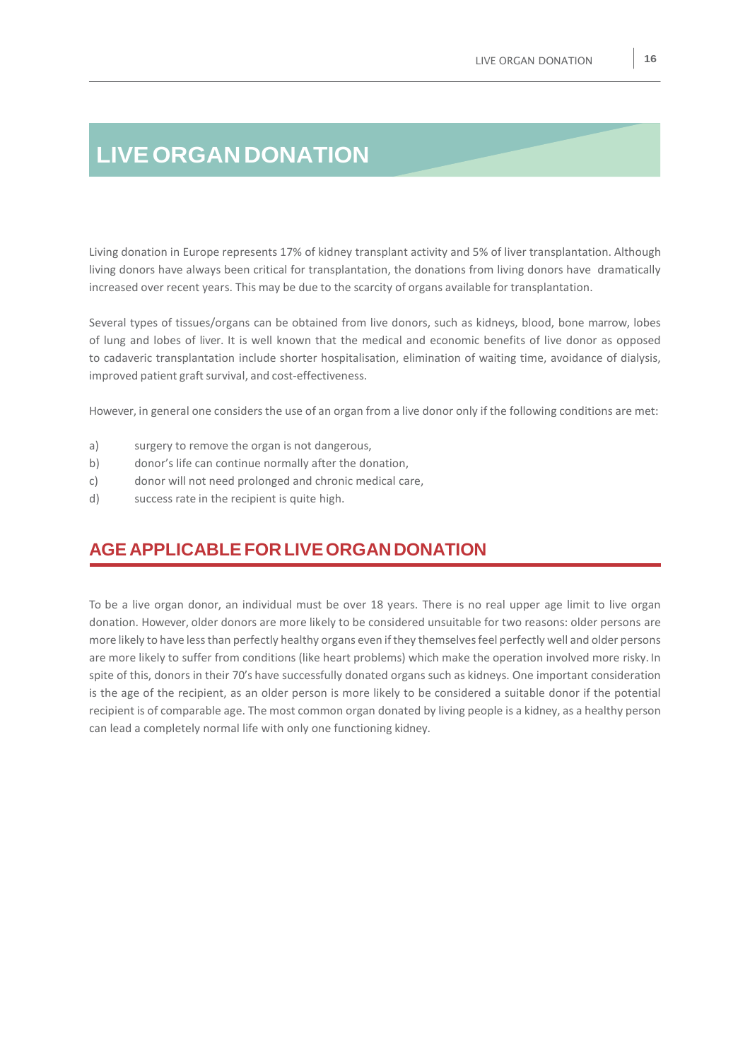## **LIVEORGANDONATION**

Living donation in Europe represents 17% of kidney transplant activity and 5% of liver transplantation. Although living donors have always been critical for transplantation, the donations from living donors have dramatically increased over recent years. This may be due to the scarcity of organs available for transplantation.

Several types of tissues/organs can be obtained from live donors, such as kidneys, blood, bone marrow, lobes of lung and lobes of liver. It is well known that the medical and economic benefits of live donor as opposed to cadaveric transplantation include shorter hospitalisation, elimination of waiting time, avoidance of dialysis, improved patient graft survival, and cost-effectiveness.

However, in general one considers the use of an organ from a live donor only if the following conditions are met:

- a) surgery to remove the organ is not dangerous,
- b) donor's life can continue normally after the donation,
- c) donor will not need prolonged and chronic medical care,
- d) success rate in the recipient is quite high.

## **AGE APPLICABLEFORLIVEORGANDONATION**

To be a live organ donor, an individual must be over 18 years. There is no real upper age limit to live organ donation. However, older donors are more likely to be considered unsuitable for two reasons: older persons are more likely to have lessthan perfectly healthy organs even ifthey themselvesfeel perfectly well and older persons are more likely to suffer from conditions (like heart problems) which make the operation involved more risky. In spite of this, donors in their 70's have successfully donated organs such as kidneys. One important consideration is the age of the recipient, as an older person is more likely to be considered a suitable donor if the potential recipient is of comparable age. The most common organ donated by living people is a kidney, as a healthy person can lead a completely normal life with only one functioning kidney.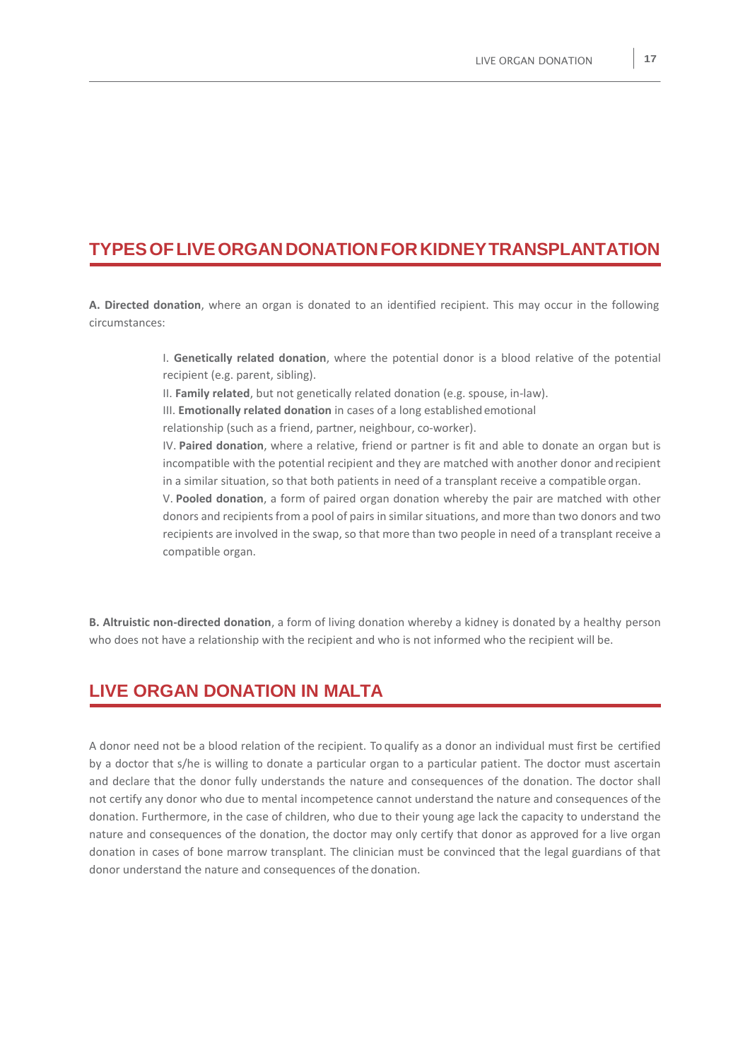### **TYPESOFLIVEORGANDONATIONFORKIDNEYTRANSPLANTATION**

**A. Directed donation**, where an organ is donated to an identified recipient. This may occur in the following circumstances:

> I. **Genetically related donation**, where the potential donor is a blood relative of the potential recipient (e.g. parent, sibling).

II. **Family related**, but not genetically related donation (e.g. spouse, in-law).

III. **Emotionally related donation** in cases of a long established emotional

relationship (such as a friend, partner, neighbour, co-worker).

IV. **Paired donation**, where a relative, friend or partner is fit and able to donate an organ but is incompatible with the potential recipient and they are matched with another donor and recipient in a similar situation, so that both patients in need of a transplant receive a compatible organ.

V. **Pooled donation**, a form of paired organ donation whereby the pair are matched with other donors and recipients from a pool of pairs in similar situations, and more than two donors and two recipients are involved in the swap, so that more than two people in need of a transplant receive a compatible organ.

**B. Altruistic non-directed donation**, a form of living donation whereby a kidney is donated by a healthy person who does not have a relationship with the recipient and who is not informed who the recipient will be.

## **LIVE ORGAN DONATION IN MALTA**

A donor need not be a blood relation of the recipient. To qualify as a donor an individual must first be certified by a doctor that s/he is willing to donate a particular organ to a particular patient. The doctor must ascertain and declare that the donor fully understands the nature and consequences of the donation. The doctor shall not certify any donor who due to mental incompetence cannot understand the nature and consequences of the donation. Furthermore, in the case of children, who due to their young age lack the capacity to understand the nature and consequences of the donation, the doctor may only certify that donor as approved for a live organ donation in cases of bone marrow transplant. The clinician must be convinced that the legal guardians of that donor understand the nature and consequences of the donation.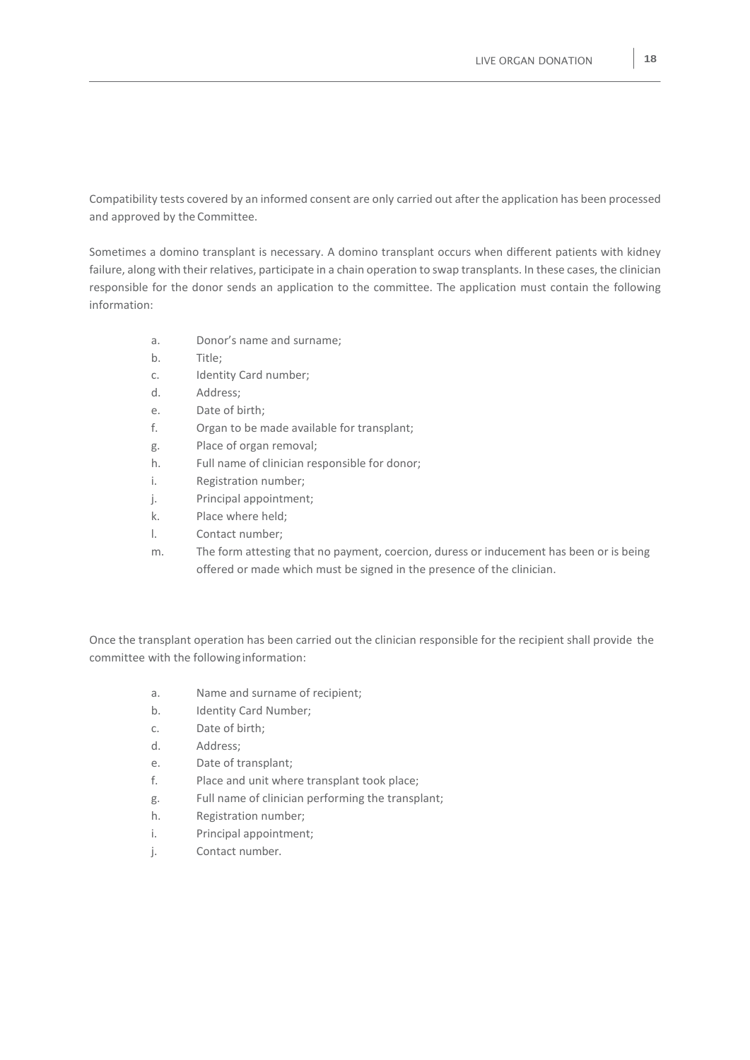Compatibility tests covered by an informed consent are only carried out after the application has been processed and approved by the Committee.

Sometimes a domino transplant is necessary. A domino transplant occurs when different patients with kidney failure, along with their relatives, participate in a chain operation to swap transplants. In these cases, the clinician responsible for the donor sends an application to the committee. The application must contain the following information:

- a. Donor's name and surname;
- b. Title;
- c. Identity Card number;
- d. Address;
- e. Date of birth;
- f. Organ to be made available for transplant;
- g. Place of organ removal;
- h. Full name of clinician responsible for donor;
- i. Registration number;
- j. Principal appointment;
- k. Place where held;
- l. Contact number;
- m. The form attesting that no payment, coercion, duress or inducement has been or is being offered or made which must be signed in the presence of the clinician.

Once the transplant operation has been carried out the clinician responsible for the recipient shall provide the committee with the followinginformation:

- a. Name and surname of recipient;
- b. Identity Card Number;
- c. Date of birth;
- d. Address;
- e. Date of transplant;
- f. Place and unit where transplant took place;
- g. Full name of clinician performing the transplant;
- h. Registration number;
- i. Principal appointment;
- j. Contact number.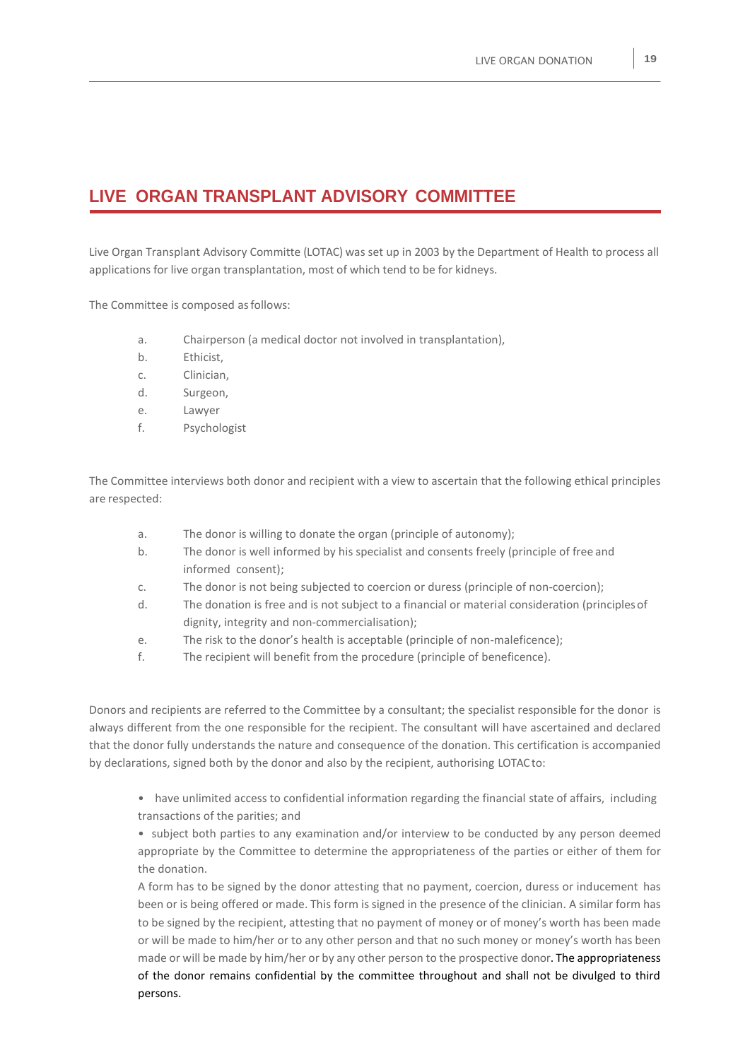## **LIVE ORGAN TRANSPLANT ADVISORY COMMITTEE**

Live Organ Transplant Advisory Committe (LOTAC) was set up in 2003 by the Department of Health to process all applications for live organ transplantation, most of which tend to be for kidneys.

The Committee is composed asfollows:

- a. Chairperson (a medical doctor not involved in transplantation),
- b. Ethicist,
- c. Clinician,
- d. Surgeon,
- e. Lawyer
- f. Psychologist

The Committee interviews both donor and recipient with a view to ascertain that the following ethical principles are respected:

- a. The donor is willing to donate the organ (principle of autonomy);
- b. The donor is well informed by his specialist and consents freely (principle of free and informed consent);
- c. The donor is not being subjected to coercion or duress (principle of non-coercion);
- d. The donation is free and is not subject to a financial or material consideration (principlesof dignity, integrity and non-commercialisation);
- e. The risk to the donor's health is acceptable (principle of non-maleficence);
- f. The recipient will benefit from the procedure (principle of beneficence).

Donors and recipients are referred to the Committee by a consultant; the specialist responsible for the donor is always different from the one responsible for the recipient. The consultant will have ascertained and declared that the donor fully understands the nature and consequence of the donation. This certification is accompanied by declarations, signed both by the donor and also by the recipient, authorising LOTACto:

• have unlimited access to confidential information regarding the financial state of affairs, including transactions of the parities; and

• subject both parties to any examination and/or interview to be conducted by any person deemed appropriate by the Committee to determine the appropriateness of the parties or either of them for the donation.

A form has to be signed by the donor attesting that no payment, coercion, duress or inducement has been or is being offered or made. This form is signed in the presence of the clinician. A similar form has to be signed by the recipient, attesting that no payment of money or of money's worth has been made or will be made to him/her or to any other person and that no such money or money's worth has been made or will be made by him/her or by any other person to the prospective donor. The appropriateness of the donor remains confidential by the committee throughout and shall not be divulged to third persons.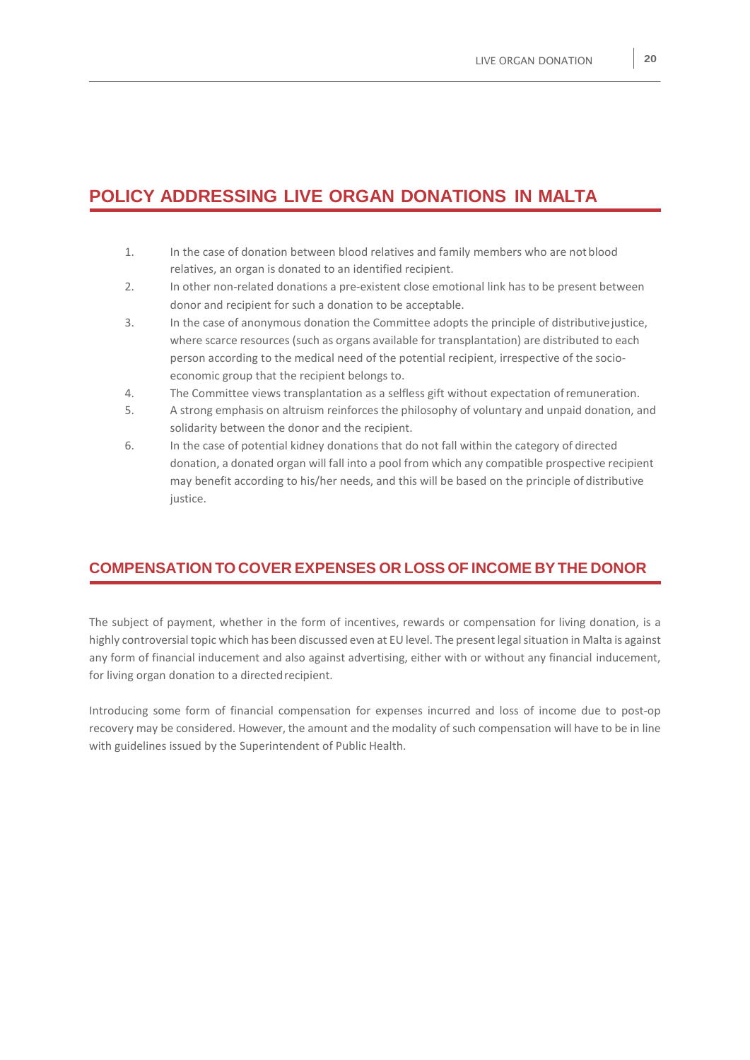## **POLICY ADDRESSING LIVE ORGAN DONATIONS IN MALTA**

- 1. In the case of donation between blood relatives and family members who are notblood relatives, an organ is donated to an identified recipient.
- 2. In other non-related donations a pre-existent close emotional link has to be present between donor and recipient for such a donation to be acceptable.
- 3. In the case of anonymous donation the Committee adopts the principle of distributivejustice, where scarce resources (such as organs available for transplantation) are distributed to each person according to the medical need of the potential recipient, irrespective of the socioeconomic group that the recipient belongs to.
- 4. The Committee views transplantation as a selfless gift without expectation ofremuneration.
- 5. A strong emphasis on altruism reinforces the philosophy of voluntary and unpaid donation, and solidarity between the donor and the recipient.
- 6. In the case of potential kidney donations that do not fall within the category of directed donation, a donated organ will fall into a pool from which any compatible prospective recipient may benefit according to his/her needs, and this will be based on the principle of distributive justice.

#### **COMPENSATION TO COVER EXPENSES OR LOSS OF INCOME BYTHE DONOR**

The subject of payment, whether in the form of incentives, rewards or compensation for living donation, is a highly controversial topic which has been discussed even at EU level. The present legal situation in Malta is against any form of financial inducement and also against advertising, either with or without any financial inducement, for living organ donation to a directed recipient.

Introducing some form of financial compensation for expenses incurred and loss of income due to post-op recovery may be considered. However, the amount and the modality of such compensation will have to be in line with guidelines issued by the Superintendent of Public Health.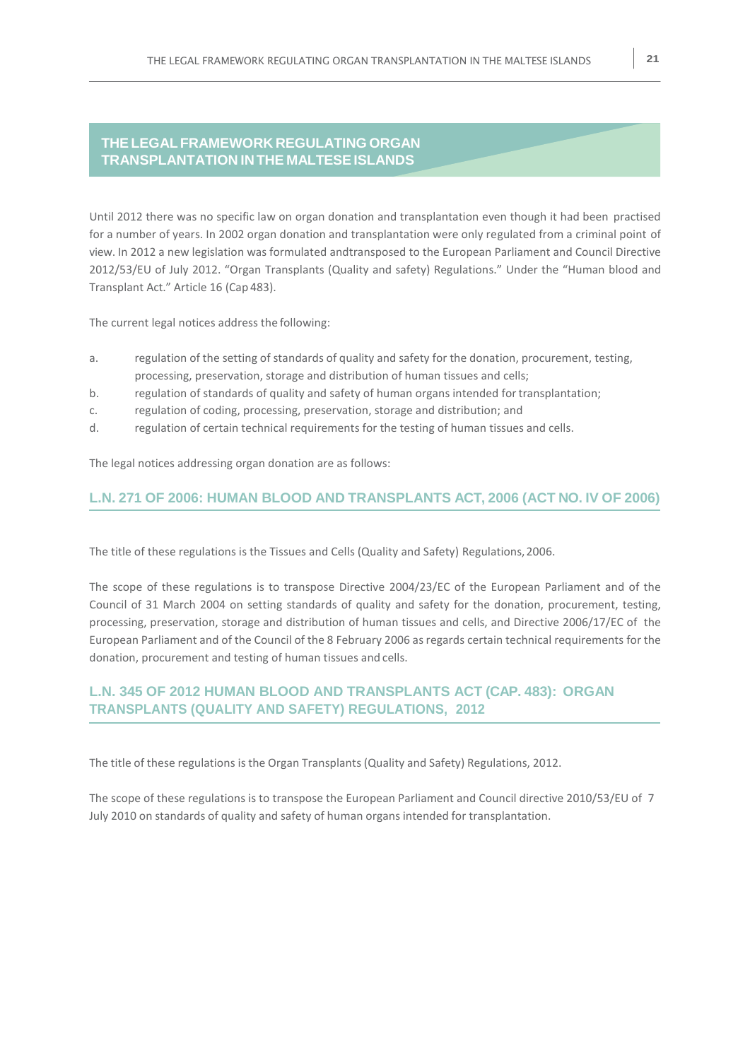#### **THELEGALFRAMEWORK REGULATING ORGAN TRANSPLANTATION INTHE MALTESEISLANDS**

Until 2012 there was no specific law on organ donation and transplantation even though it had been practised for a number of years. In 2002 organ donation and transplantation were only regulated from a criminal point of view. In 2012 a new legislation was formulated andtransposed to the European Parliament and Council Directive 2012/53/EU of July 2012. "Organ Transplants (Quality and safety) Regulations." Under the "Human blood and Transplant Act." Article 16 (Cap 483).

The current legal notices address the following:

- a. regulation of the setting of standards of quality and safety for the donation, procurement, testing, processing, preservation, storage and distribution of human tissues and cells;
- b. regulation of standards of quality and safety of human organs intended for transplantation;
- c. regulation of coding, processing, preservation, storage and distribution; and
- d. regulation of certain technical requirements for the testing of human tissues and cells.

The legal notices addressing organ donation are as follows:

#### **L.N. 271 OF 2006: HUMAN BLOOD AND TRANSPLANTS ACT, 2006 (ACT NO. IV OF 2006)**

The title of these regulations is the Tissues and Cells (Quality and Safety) Regulations,2006.

The scope of these regulations is to transpose Directive 2004/23/EC of the European Parliament and of the Council of 31 March 2004 on setting standards of quality and safety for the donation, procurement, testing, processing, preservation, storage and distribution of human tissues and cells, and Directive 2006/17/EC of the European Parliament and of the Council of the 8 February 2006 as regards certain technical requirements for the donation, procurement and testing of human tissues and cells.

#### **L.N. 345 OF 2012 HUMAN BLOOD AND TRANSPLANTS ACT (CAP. 483): ORGAN TRANSPLANTS (QUALITY AND SAFETY) REGULATIONS, 2012**

The title of these regulations is the Organ Transplants (Quality and Safety) Regulations, 2012.

The scope of these regulations is to transpose the European Parliament and Council directive 2010/53/EU of 7 July 2010 on standards of quality and safety of human organs intended for transplantation.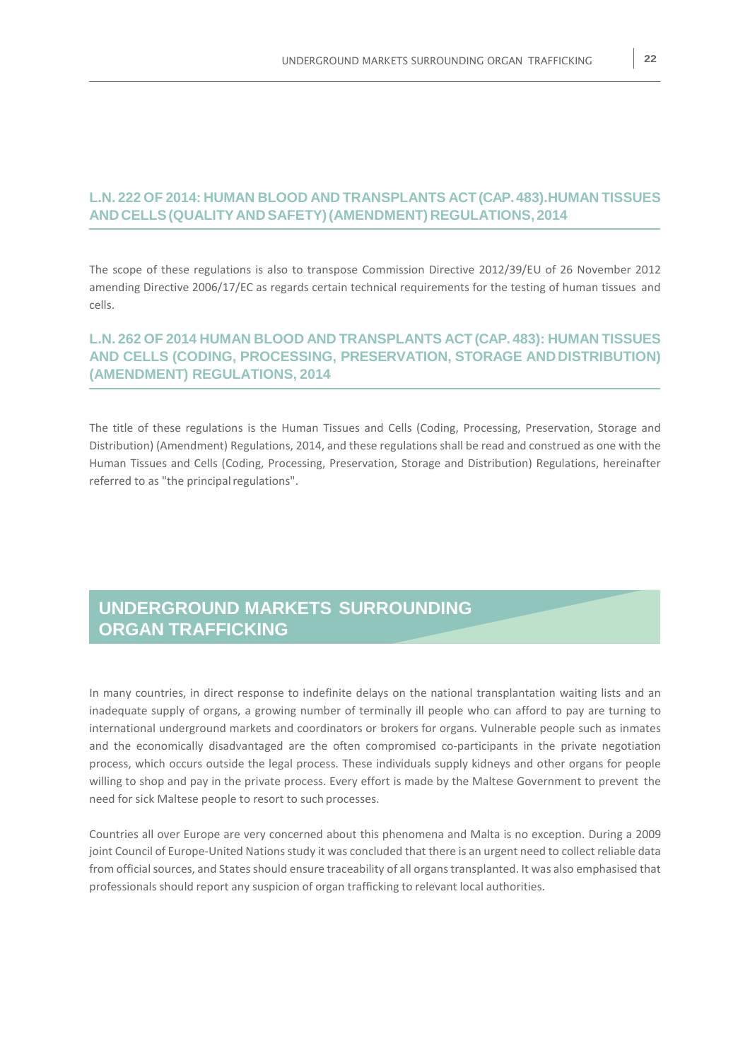#### **L.N. 222 OF 2014: HUMAN BLOOD AND TRANSPLANTS ACT(CAP.483).HUMAN TISSUES AND CELLS(QUALITYAND SAFETY)(AMENDMENT) REGULATIONS, 2014**

The scope of these regulations is also to transpose Commission Directive 2012/39/EU of 26 November 2012 amending Directive 2006/17/EC as regards certain technical requirements for the testing of human tissues and cells.

#### **L.N. 262 OF 2014 HUMAN BLOOD AND TRANSPLANTS ACT(CAP. 483): HUMAN TISSUES AND CELLS (CODING, PROCESSING, PRESERVATION, STORAGE ANDDISTRIBUTION) (AMENDMENT) REGULATIONS, 2014**

The title of these regulations is the Human Tissues and Cells (Coding, Processing, Preservation, Storage and Distribution) (Amendment) Regulations, 2014, and these regulations shall be read and construed as one with the Human Tissues and Cells (Coding, Processing, Preservation, Storage and Distribution) Regulations, hereinafter referred to as "the principal regulations".

## **UNDERGROUND MARKETS SURROUNDING ORGAN TRAFFICKING**

In many countries, in direct response to indefinite delays on the national transplantation waiting lists and an inadequate supply of organs, a growing number of terminally ill people who can afford to pay are turning to international underground markets and coordinators or brokers for organs. Vulnerable people such as inmates and the economically disadvantaged are the often compromised co-participants in the private negotiation process, which occurs outside the legal process. These individuals supply kidneys and other organs for people willing to shop and pay in the private process. Every effort is made by the Maltese Government to prevent the need for sick Maltese people to resort to such processes.

Countries all over Europe are very concerned about this phenomena and Malta is no exception. During a 2009 joint Council of Europe-United Nations study it was concluded that there is an urgent need to collect reliable data from official sources, and States should ensure traceability of all organs transplanted. It was also emphasised that professionals should report any suspicion of organ trafficking to relevant local authorities.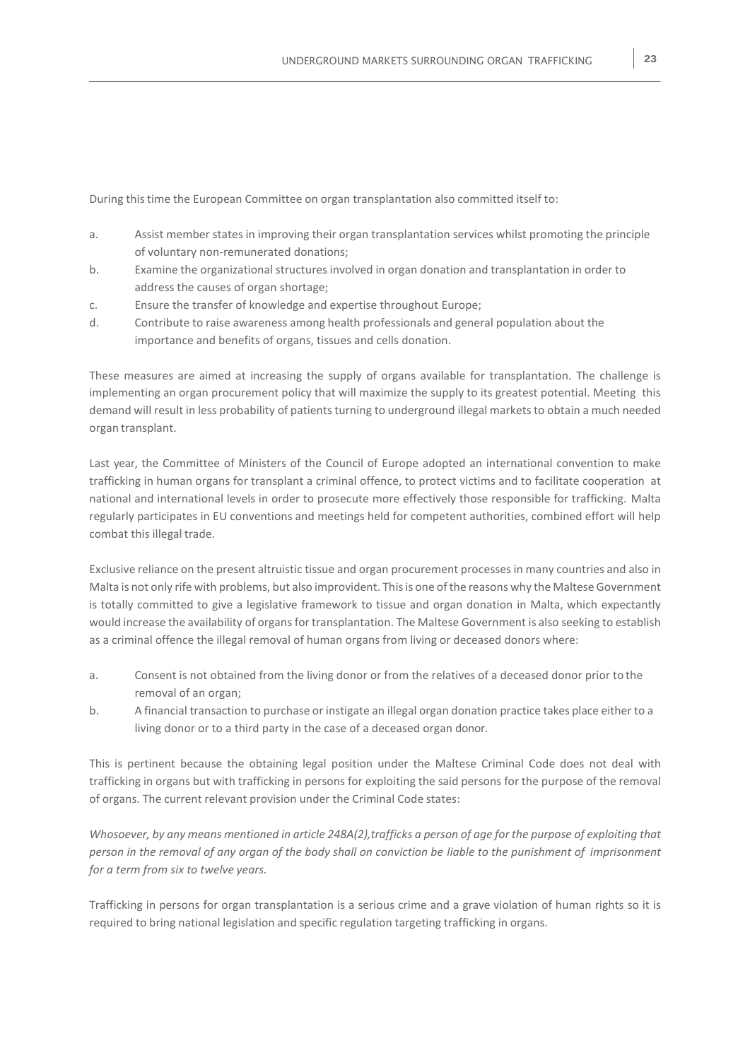During this time the European Committee on organ transplantation also committed itself to:

- a. Assist member states in improving their organ transplantation services whilst promoting the principle of voluntary non-remunerated donations;
- b. Examine the organizational structures involved in organ donation and transplantation in order to address the causes of organ shortage;
- c. Ensure the transfer of knowledge and expertise throughout Europe;
- d. Contribute to raise awareness among health professionals and general population about the importance and benefits of organs, tissues and cells donation.

These measures are aimed at increasing the supply of organs available for transplantation. The challenge is implementing an organ procurement policy that will maximize the supply to its greatest potential. Meeting this demand will result in less probability of patients turning to underground illegal markets to obtain a much needed organ transplant.

Last year, the Committee of Ministers of the Council of Europe adopted an international convention to make trafficking in human organs for transplant a criminal offence, to protect victims and to facilitate cooperation at national and international levels in order to prosecute more effectively those responsible for trafficking. Malta regularly participates in EU conventions and meetings held for competent authorities, combined effort will help combat this illegal trade.

Exclusive reliance on the present altruistic tissue and organ procurement processesin many countries and also in Malta is not only rife with problems, but also improvident. Thisis one ofthe reasons why the Maltese Government is totally committed to give a legislative framework to tissue and organ donation in Malta, which expectantly would increase the availability of organs for transplantation. The Maltese Government is also seeking to establish as a criminal offence the illegal removal of human organs from living or deceased donors where:

- a. Consent is not obtained from the living donor or from the relatives of a deceased donor prior to the removal of an organ;
- b. A financial transaction to purchase or instigate an illegal organ donation practice takes place either to a living donor or to a third party in the case of a deceased organ donor.

This is pertinent because the obtaining legal position under the Maltese Criminal Code does not deal with trafficking in organs but with trafficking in persons for exploiting the said persons for the purpose of the removal of organs. The current relevant provision under the Criminal Code states:

Whosoever, by any means mentioned in article 248A(2), trafficks a person of age for the purpose of exploiting that *person in the removal of any organ of the body shall on conviction be liable to the punishment of imprisonment for a term from six to twelve years.*

Trafficking in persons for organ transplantation is a serious crime and a grave violation of human rights so it is required to bring national legislation and specific regulation targeting trafficking in organs.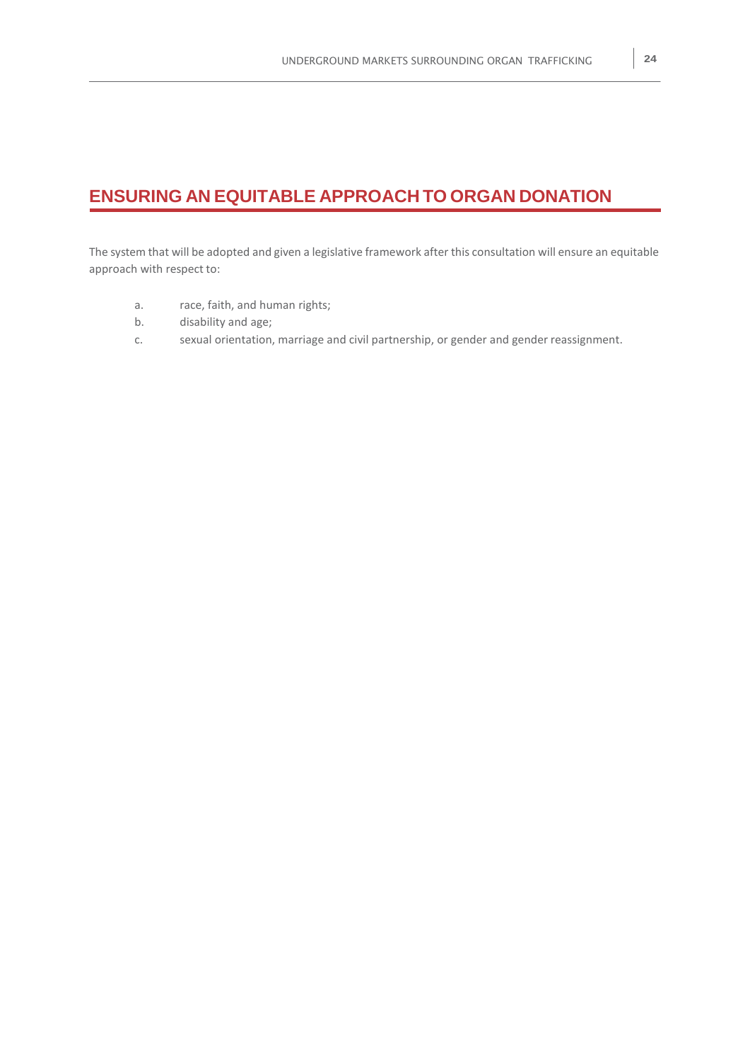## **ENSURING AN EQUITABLE APPROACH TO ORGAN DONATION**

The system that will be adopted and given a legislative framework after this consultation will ensure an equitable approach with respect to:

- a. race, faith, and human rights;
- b. disability and age;
- c. sexual orientation, marriage and civil partnership, or gender and gender reassignment.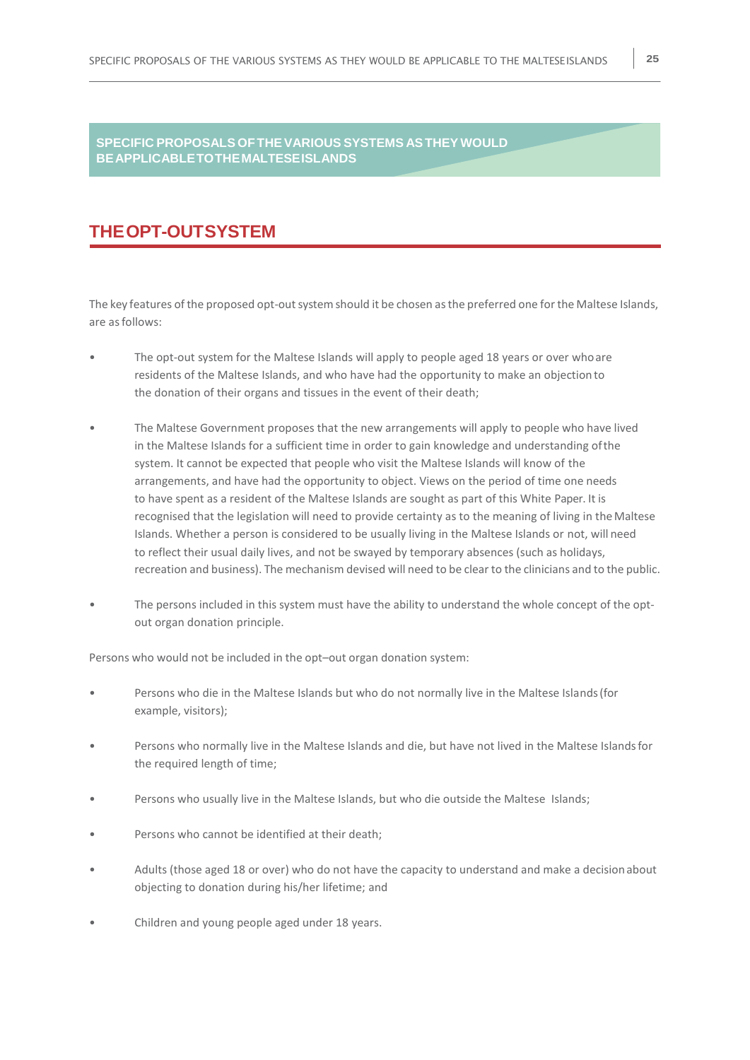#### **SPECIFIC PROPOSALS OFTHEVARIOUS SYSTEMS ASTHEYWOULD BEAPPLICABLETOTHEMALTESEISLANDS**

## **THEOPT-OUTSYSTEM**

The key features of the proposed opt-out system should it be chosen as the preferred one for the Maltese Islands, are asfollows:

- The opt-out system for the Maltese Islands will apply to people aged 18 years or over whoare residents of the Maltese Islands, and who have had the opportunity to make an objection to the donation of their organs and tissues in the event of their death;
- The Maltese Government proposes that the new arrangements will apply to people who have lived in the Maltese Islands for a sufficient time in order to gain knowledge and understanding ofthe system. It cannot be expected that people who visit the Maltese Islands will know of the arrangements, and have had the opportunity to object. Views on the period of time one needs to have spent as a resident of the Maltese Islands are sought as part of this White Paper. It is recognised that the legislation will need to provide certainty as to the meaning of living in theMaltese Islands. Whether a person is considered to be usually living in the Maltese Islands or not, will need to reflect their usual daily lives, and not be swayed by temporary absences (such as holidays, recreation and business). The mechanism devised will need to be clear to the clinicians and to the public.
- The persons included in this system must have the ability to understand the whole concept of the optout organ donation principle.

Persons who would not be included in the opt–out organ donation system:

- Persons who die in the Maltese Islands but who do not normally live in the Maltese Islands(for example, visitors);
- Persons who normally live in the Maltese Islands and die, but have not lived in the Maltese Islandsfor the required length of time;
- Persons who usually live in the Maltese Islands, but who die outside the Maltese Islands;
- Persons who cannot be identified at their death;
- Adults (those aged 18 or over) who do not have the capacity to understand and make a decision about objecting to donation during his/her lifetime; and
- Children and young people aged under 18 years.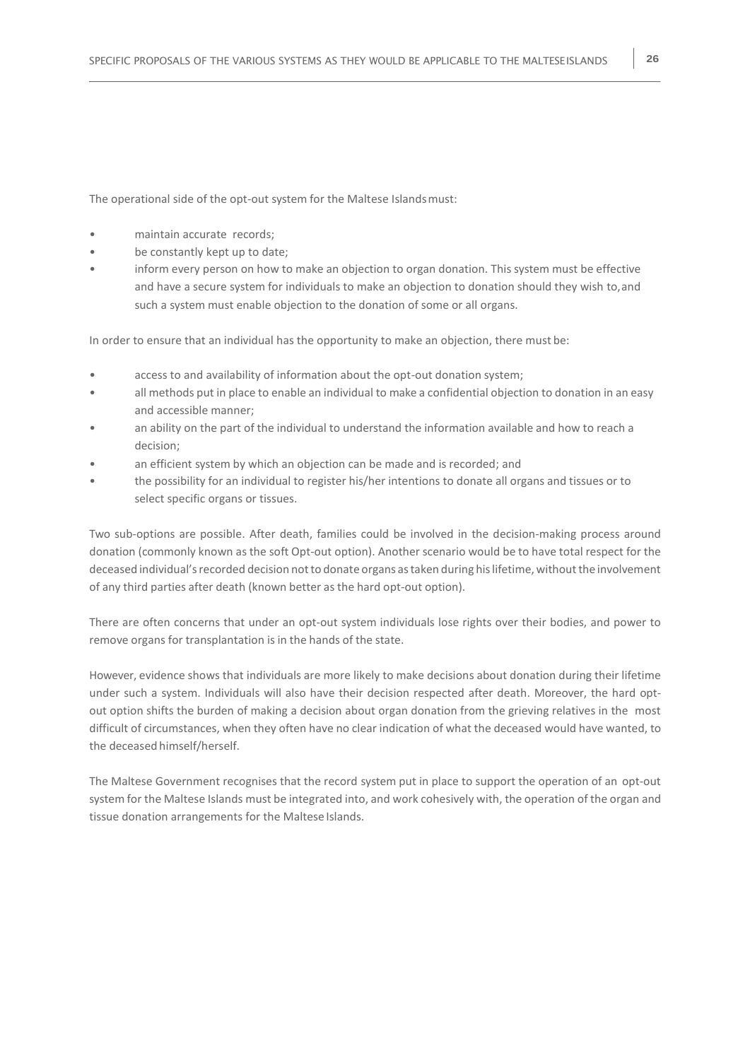The operational side of the opt-out system for the Maltese Islands must:

- maintain accurate records:
- be constantly kept up to date;
- inform every person on how to make an objection to organ donation. This system must be effective and have a secure system for individuals to make an objection to donation should they wish to,and such a system must enable objection to the donation of some or all organs.

In order to ensure that an individual has the opportunity to make an objection, there must be:

- access to and availability of information about the opt-out donation system;
- all methods put in place to enable an individual to make a confidential objection to donation in an easy and accessible manner;
- an ability on the part of the individual to understand the information available and how to reach a decision;
- an efficient system by which an objection can be made and is recorded; and
- the possibility for an individual to register his/her intentions to donate all organs and tissues or to select specific organs or tissues.

Two sub-options are possible. After death, families could be involved in the decision-making process around donation (commonly known as the soft Opt-out option). Another scenario would be to have total respect for the deceased individual's recorded decision not to donate organs as taken during his lifetime, without the involvement of any third parties after death (known better as the hard opt-out option).

There are often concerns that under an opt-out system individuals lose rights over their bodies, and power to remove organs for transplantation is in the hands of the state.

However, evidence shows that individuals are more likely to make decisions about donation during their lifetime under such a system. Individuals will also have their decision respected after death. Moreover, the hard optout option shifts the burden of making a decision about organ donation from the grieving relatives in the most difficult of circumstances, when they often have no clear indication of what the deceased would have wanted, to the deceased himself/herself.

The Maltese Government recognises that the record system put in place to support the operation of an opt-out system for the Maltese Islands must be integrated into, and work cohesively with, the operation of the organ and tissue donation arrangements for the Maltese Islands.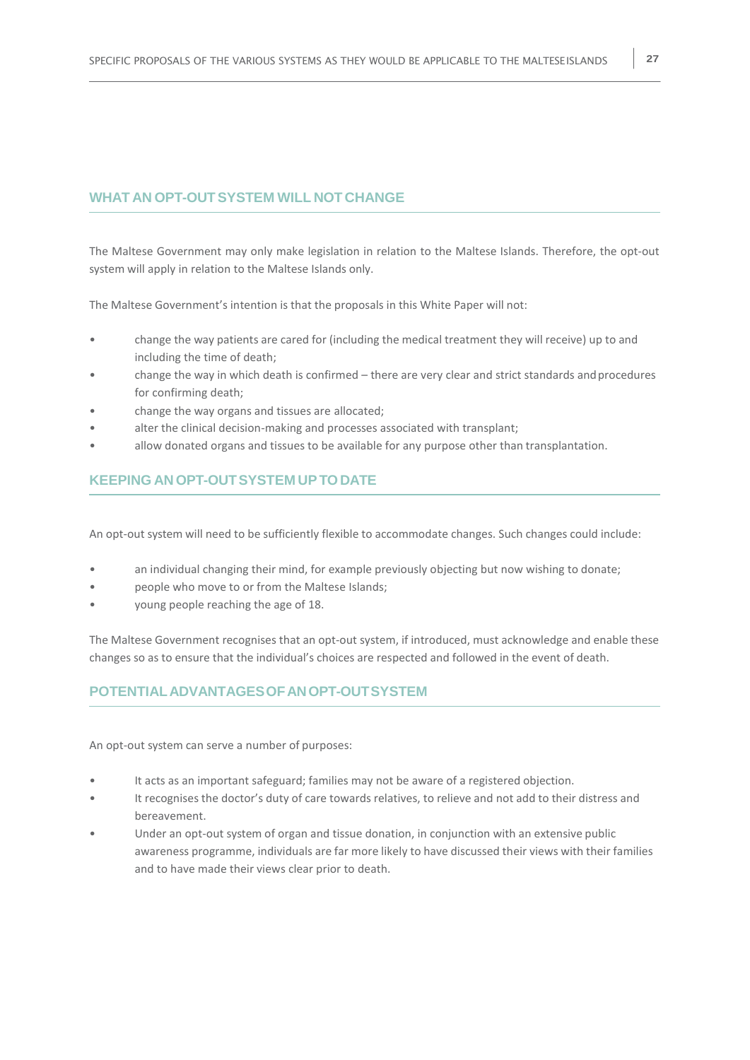#### **WHAT AN OPT-OUTSYSTEM WILL NOT CHANGE**

The Maltese Government may only make legislation in relation to the Maltese Islands. Therefore, the opt-out system will apply in relation to the Maltese Islands only.

The Maltese Government's intention is that the proposals in this White Paper will not:

- change the way patients are cared for (including the medical treatment they will receive) up to and including the time of death;
- change the way in which death is confirmed there are very clear and strict standards andprocedures for confirming death;
- change the way organs and tissues are allocated;
- alter the clinical decision-making and processes associated with transplant;
- allow donated organs and tissues to be available for any purpose other than transplantation.

#### **KEEPING AN OPT-OUTSYSTEM UPTODATE**

An opt-out system will need to be sufficiently flexible to accommodate changes. Such changes could include:

- an individual changing their mind, for example previously objecting but now wishing to donate;
- people who move to or from the Maltese Islands;
- young people reaching the age of 18.

The Maltese Government recognises that an opt-out system, if introduced, must acknowledge and enable these changes so as to ensure that the individual's choices are respected and followed in the event of death.

#### **POTENTIALADVANTAGESOFANOPT-OUTSYSTEM**

An opt-out system can serve a number of purposes:

- It acts as an important safeguard; families may not be aware of a registered objection.
- It recognises the doctor's duty of care towards relatives, to relieve and not add to their distress and bereavement.
- Under an opt-out system of organ and tissue donation, in conjunction with an extensive public awareness programme, individuals are far more likely to have discussed their views with their families and to have made their views clear prior to death.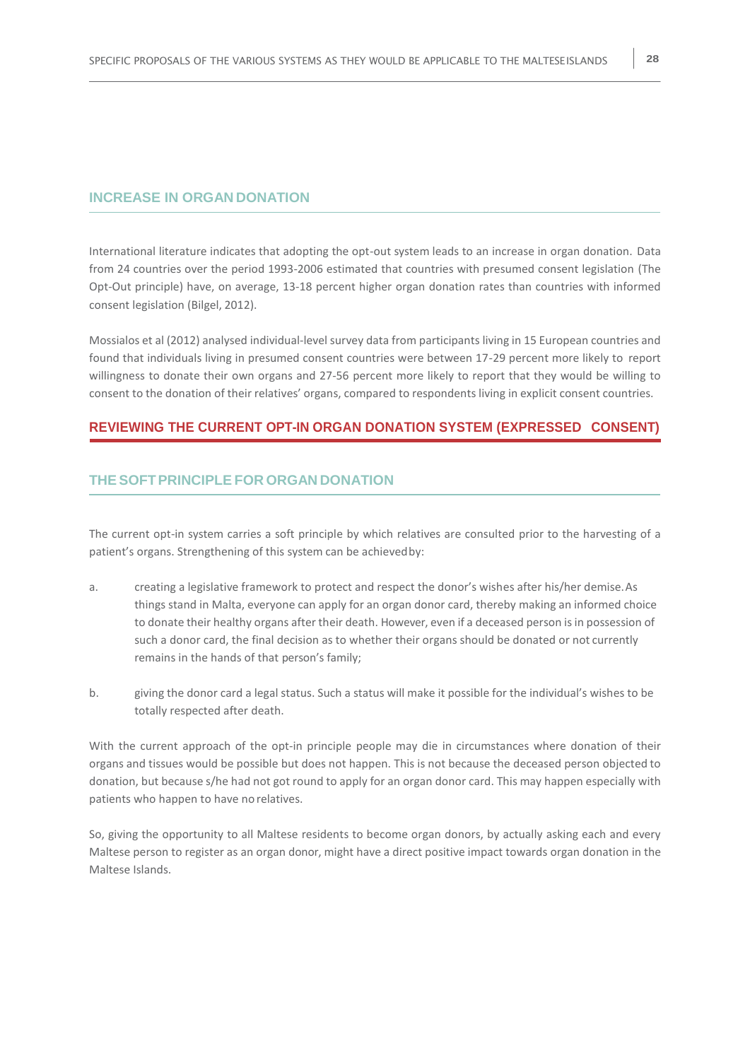#### **INCREASE IN ORGAN DONATION**

International literature indicates that adopting the opt-out system leads to an increase in organ donation. Data from 24 countries over the period 1993-2006 estimated that countries with presumed consent legislation (The Opt-Out principle) have, on average, 13-18 percent higher organ donation rates than countries with informed consent legislation (Bilgel, 2012).

Mossialos et al (2012) analysed individual-level survey data from participants living in 15 European countries and found that individuals living in presumed consent countries were between 17-29 percent more likely to report willingness to donate their own organs and 27-56 percent more likely to report that they would be willing to consent to the donation of their relatives' organs, compared to respondents living in explicit consent countries.

#### **REVIEWING THE CURRENT OPT-IN ORGAN DONATION SYSTEM (EXPRESSED CONSENT)**

#### **THE SOFTPRINCIPLE FOR ORGAN DONATION**

The current opt-in system carries a soft principle by which relatives are consulted prior to the harvesting of a patient's organs. Strengthening of this system can be achievedby:

- a. creating a legislative framework to protect and respect the donor's wishes after his/her demise.As things stand in Malta, everyone can apply for an organ donor card, thereby making an informed choice to donate their healthy organs after their death. However, even if a deceased person is in possession of such a donor card, the final decision as to whether their organs should be donated or not currently remains in the hands of that person's family;
- b. giving the donor card a legal status. Such a status will make it possible for the individual's wishes to be totally respected after death.

With the current approach of the opt-in principle people may die in circumstances where donation of their organs and tissues would be possible but does not happen. This is not because the deceased person objected to donation, but because s/he had not got round to apply for an organ donor card. This may happen especially with patients who happen to have no relatives.

So, giving the opportunity to all Maltese residents to become organ donors, by actually asking each and every Maltese person to register as an organ donor, might have a direct positive impact towards organ donation in the Maltese Islands.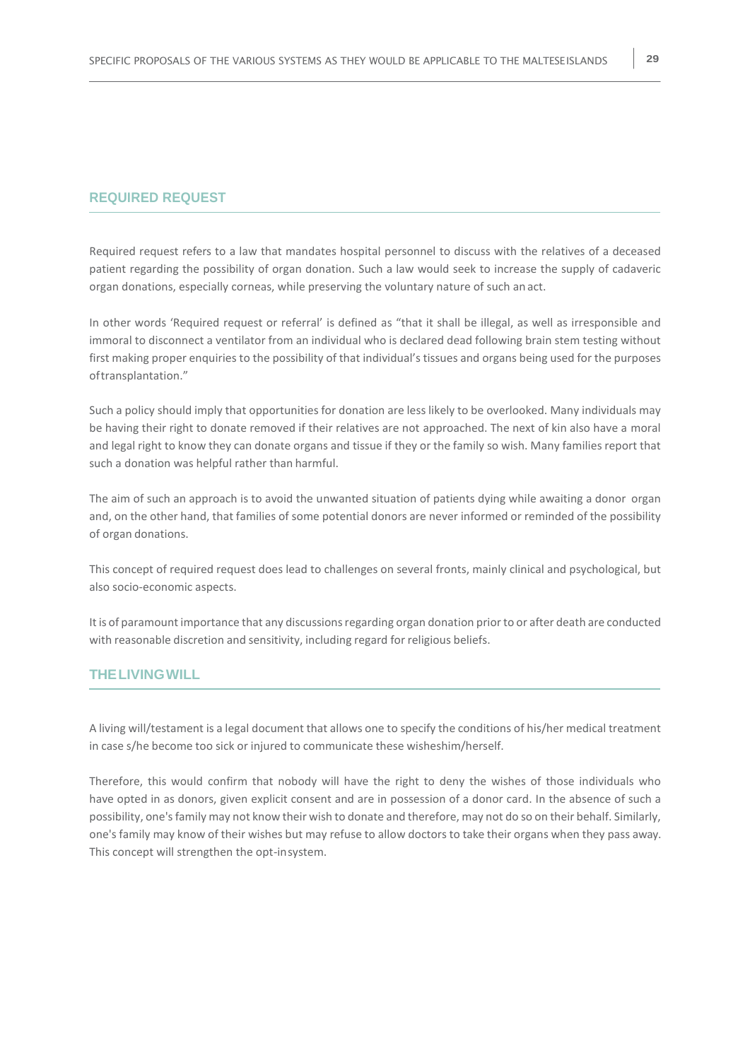#### **REQUIRED REQUEST**

Required request refers to a law that mandates hospital personnel to discuss with the relatives of a deceased patient regarding the possibility of organ donation. Such a law would seek to increase the supply of cadaveric organ donations, especially corneas, while preserving the voluntary nature of such an act.

In other words 'Required request or referral' is defined as "that it shall be illegal, as well as irresponsible and immoral to disconnect a ventilator from an individual who is declared dead following brain stem testing without first making proper enquiries to the possibility of that individual's tissues and organs being used for the purposes oftransplantation."

Such a policy should imply that opportunities for donation are less likely to be overlooked. Many individuals may be having their right to donate removed if their relatives are not approached. The next of kin also have a moral and legal right to know they can donate organs and tissue if they or the family so wish. Many families report that such a donation was helpful rather than harmful.

The aim of such an approach is to avoid the unwanted situation of patients dying while awaiting a donor organ and, on the other hand, that families of some potential donors are never informed or reminded of the possibility of organ donations.

This concept of required request does lead to challenges on several fronts, mainly clinical and psychological, but also socio-economic aspects.

It is of paramount importance that any discussions regarding organ donation prior to or after death are conducted with reasonable discretion and sensitivity, including regard for religious beliefs.

#### **THELIVINGWILL**

A living will/testament is a legal document that allows one to specify the conditions of his/her medical treatment in case s/he become too sick or injured to communicate these wisheshim/herself.

Therefore, this would confirm that nobody will have the right to deny the wishes of those individuals who have opted in as donors, given explicit consent and are in possession of a donor card. In the absence of such a possibility, one'sfamily may not know their wish to donate and therefore, may not do so on their behalf. Similarly, one's family may know of their wishes but may refuse to allow doctors to take their organs when they pass away. This concept will strengthen the opt-insystem.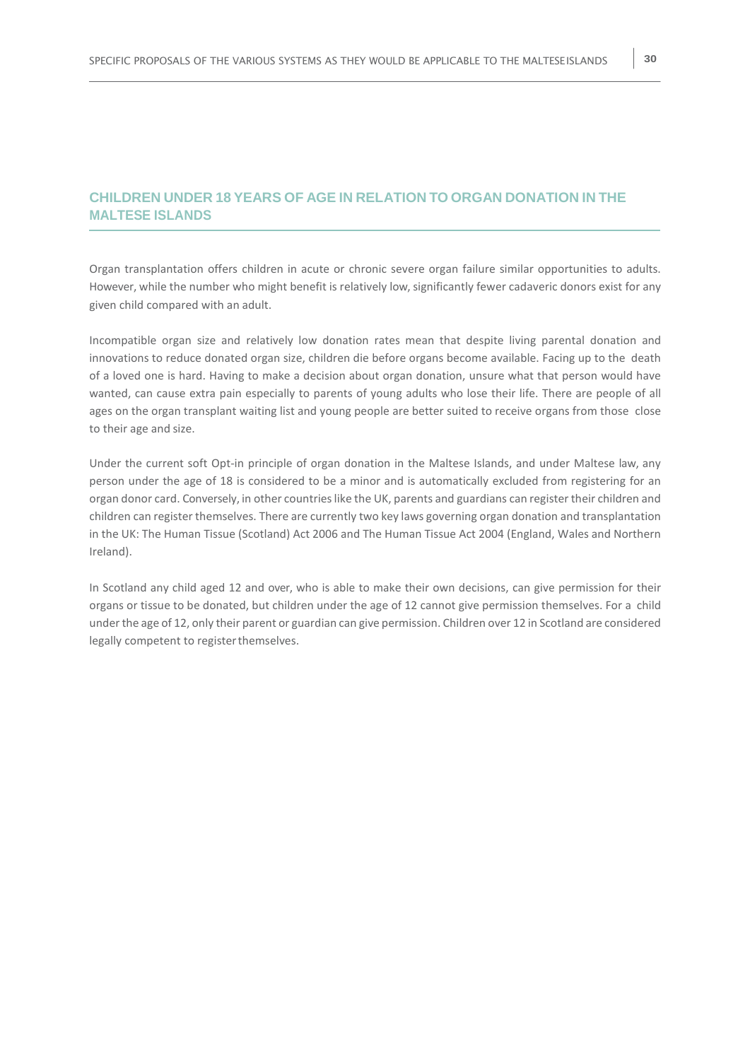#### **CHILDREN UNDER 18 YEARS OF AGE IN RELATION TO ORGAN DONATION IN THE MALTESE ISLANDS**

Organ transplantation offers children in acute or chronic severe organ failure similar opportunities to adults. However, while the number who might benefit is relatively low, significantly fewer cadaveric donors exist for any given child compared with an adult.

Incompatible organ size and relatively low donation rates mean that despite living parental donation and innovations to reduce donated organ size, children die before organs become available. Facing up to the death of a loved one is hard. Having to make a decision about organ donation, unsure what that person would have wanted, can cause extra pain especially to parents of young adults who lose their life. There are people of all ages on the organ transplant waiting list and young people are better suited to receive organs from those close to their age and size.

Under the current soft Opt-in principle of organ donation in the Maltese Islands, and under Maltese law, any person under the age of 18 is considered to be a minor and is automatically excluded from registering for an organ donor card. Conversely, in other countrieslike the UK, parents and guardians can register their children and children can register themselves. There are currently two key laws governing organ donation and transplantation in the UK: The Human Tissue (Scotland) Act 2006 and The Human Tissue Act 2004 (England, Wales and Northern Ireland).

In Scotland any child aged 12 and over, who is able to make their own decisions, can give permission for their organs or tissue to be donated, but children under the age of 12 cannot give permission themselves. For a child under the age of 12, only their parent or guardian can give permission. Children over 12 in Scotland are considered legally competent to registerthemselves.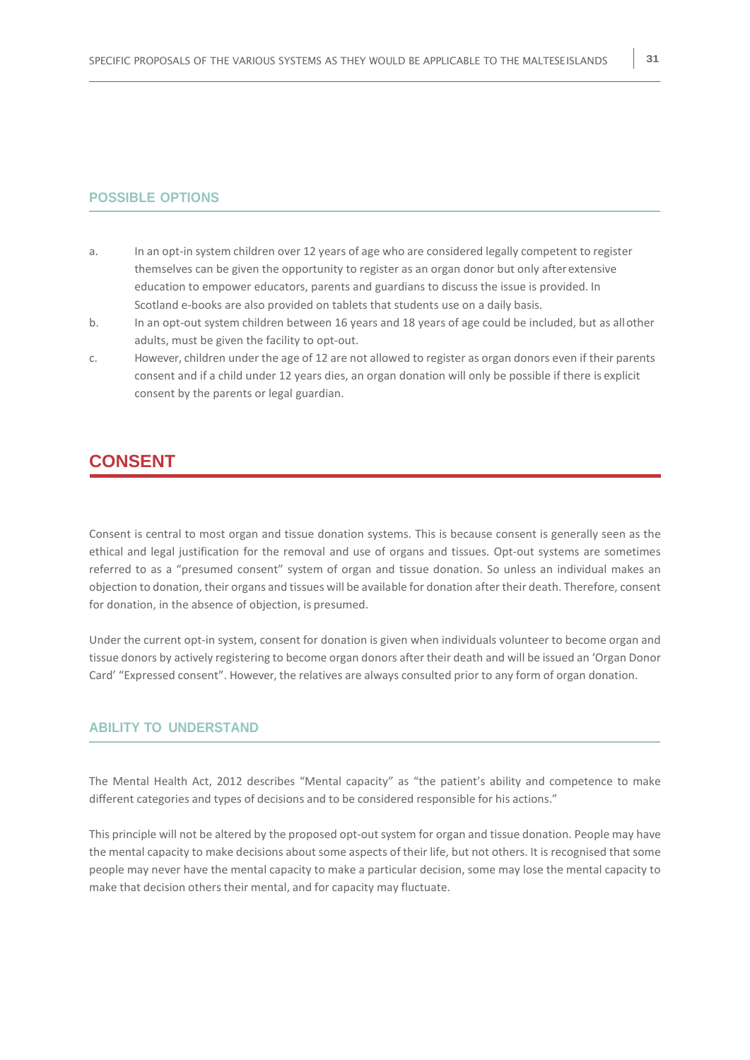- a. In an opt-in system children over 12 years of age who are considered legally competent to register themselves can be given the opportunity to register as an organ donor but only afterextensive education to empower educators, parents and guardians to discuss the issue is provided. In Scotland e-books are also provided on tablets that students use on a daily basis.
- b. In an opt-out system children between 16 years and 18 years of age could be included, but as allother adults, must be given the facility to opt-out.
- c. However, children under the age of 12 are not allowed to register as organ donors even if their parents consent and if a child under 12 years dies, an organ donation will only be possible if there is explicit consent by the parents or legal guardian.

### **CONSENT**

Consent is central to most organ and tissue donation systems. This is because consent is generally seen as the ethical and legal justification for the removal and use of organs and tissues. Opt-out systems are sometimes referred to as a "presumed consent" system of organ and tissue donation. So unless an individual makes an objection to donation, their organs and tissues will be available for donation after their death. Therefore, consent for donation, in the absence of objection, is presumed.

Under the current opt-in system, consent for donation is given when individuals volunteer to become organ and tissue donors by actively registering to become organ donors after their death and will be issued an 'Organ Donor Card' "Expressed consent". However, the relatives are always consulted prior to any form of organ donation.

#### **ABILITY TO UNDERSTAND**

The Mental Health Act, 2012 describes "Mental capacity" as "the patient's ability and competence to make different categories and types of decisions and to be considered responsible for his actions."

This principle will not be altered by the proposed opt-out system for organ and tissue donation. People may have the mental capacity to make decisions about some aspects of their life, but not others. It is recognised that some people may never have the mental capacity to make a particular decision, some may lose the mental capacity to make that decision others their mental, and for capacity may fluctuate.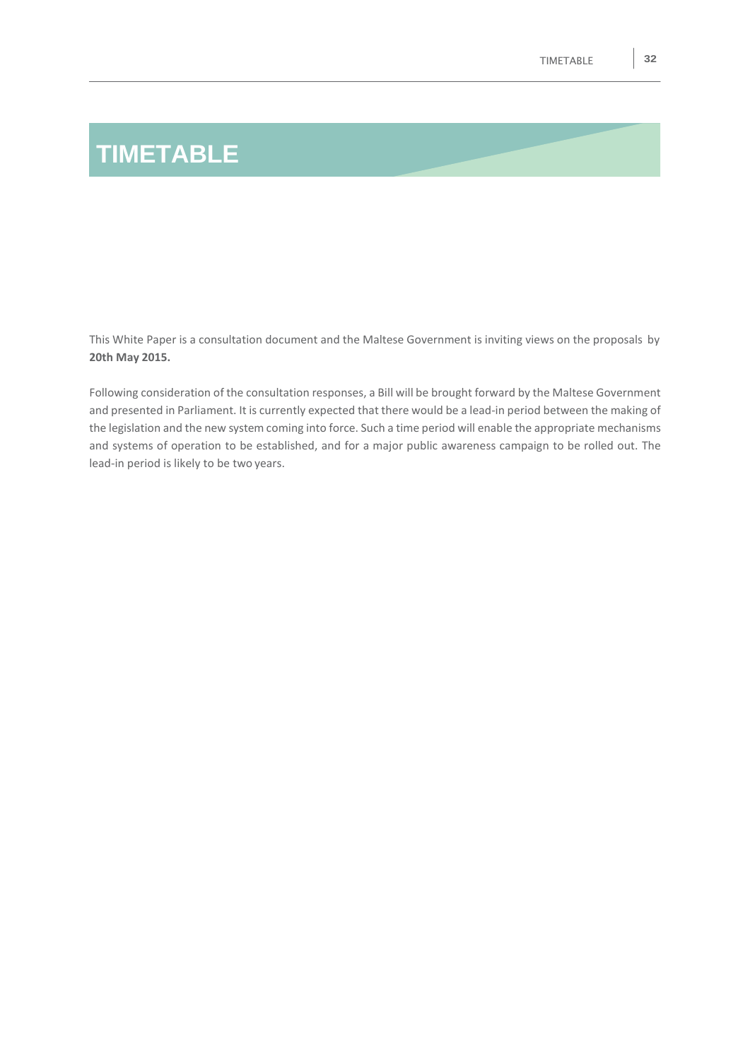# **TIMETABLE**

This White Paper is a consultation document and the Maltese Government is inviting views on the proposals by **20th May 2015.**

Following consideration of the consultation responses, a Bill will be brought forward by the Maltese Government and presented in Parliament. It is currently expected that there would be a lead-in period between the making of the legislation and the new system coming into force. Such a time period will enable the appropriate mechanisms and systems of operation to be established, and for a major public awareness campaign to be rolled out. The lead-in period is likely to be two years.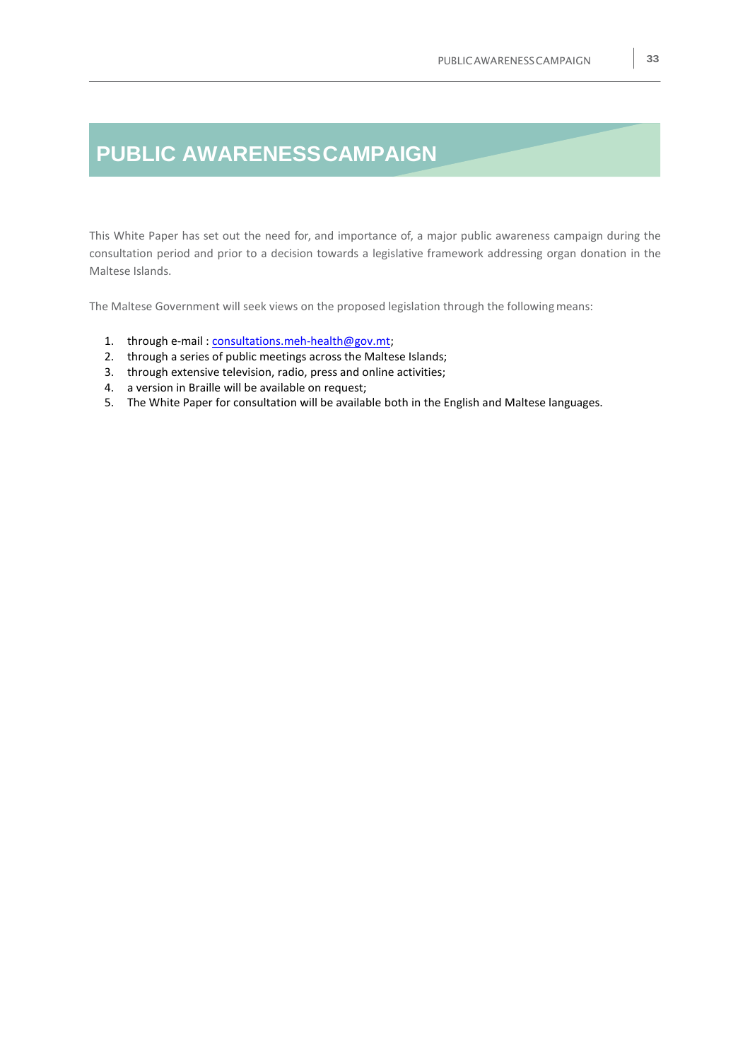## **PUBLIC AWARENESSCAMPAIGN**

This White Paper has set out the need for, and importance of, a major public awareness campaign during the consultation period and prior to a decision towards a legislative framework addressing organ donation in the Maltese Islands.

The Maltese Government will seek views on the proposed legislation through the following means:

- 1. through e-mail[: consultations.meh-health@gov.mt;](mailto:consultations.meh-health@gov.mt)
- 2. through a series of public meetings across the Maltese Islands;
- 3. through extensive television, radio, press and online activities;
- 4. a version in Braille will be available on request;
- 5. The White Paper for consultation will be available both in the English and Maltese languages.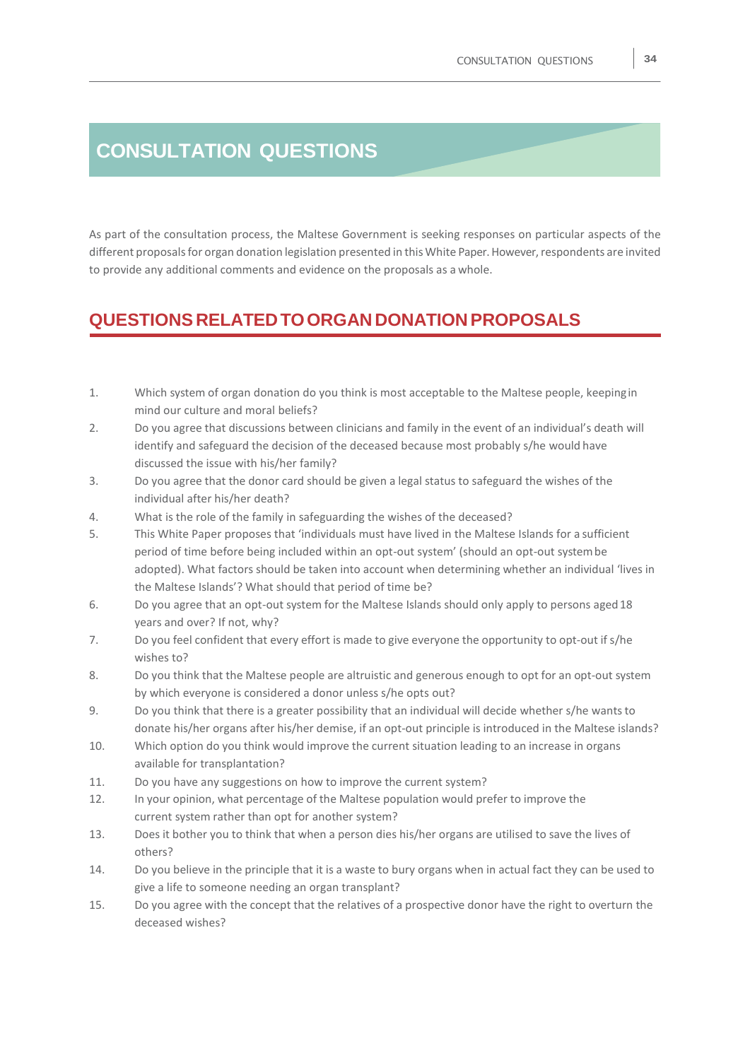## **CONSULTATION QUESTIONS**

As part of the consultation process, the Maltese Government is seeking responses on particular aspects of the different proposals for organ donation legislation presented in this White Paper. However, respondents are invited to provide any additional comments and evidence on the proposals as a whole.

## **QUESTIONS RELATEDTOORGAN DONATIONPROPOSALS**

- 1. Which system of organ donation do you think is most acceptable to the Maltese people, keepingin mind our culture and moral beliefs?
- 2. Do you agree that discussions between clinicians and family in the event of an individual's death will identify and safeguard the decision of the deceased because most probably s/he would have discussed the issue with his/her family?
- 3. Do you agree that the donor card should be given a legal status to safeguard the wishes of the individual after his/her death?
- 4. What is the role of the family in safeguarding the wishes of the deceased?
- 5. This White Paper proposes that 'individuals must have lived in the Maltese Islands for a sufficient period of time before being included within an opt-out system' (should an opt-out systembe adopted). What factors should be taken into account when determining whether an individual 'lives in the Maltese Islands'? What should that period of time be?
- 6. Do you agree that an opt-out system for the Maltese Islands should only apply to persons aged18 years and over? If not, why?
- 7. Do you feel confident that every effort is made to give everyone the opportunity to opt-out if s/he wishes to?
- 8. Do you think that the Maltese people are altruistic and generous enough to opt for an opt-out system by which everyone is considered a donor unless s/he opts out?
- 9. Do you think that there is a greater possibility that an individual will decide whether s/he wantsto donate his/her organs after his/her demise, if an opt-out principle is introduced in the Maltese islands?
- 10. Which option do you think would improve the current situation leading to an increase in organs available for transplantation?
- 11. Do you have any suggestions on how to improve the current system?
- 12. In your opinion, what percentage of the Maltese population would prefer to improve the current system rather than opt for another system?
- 13. Does it bother you to think that when a person dies his/her organs are utilised to save the lives of others?
- 14. Do you believe in the principle that it is a waste to bury organs when in actual fact they can be used to give a life to someone needing an organ transplant?
- 15. Do you agree with the concept that the relatives of a prospective donor have the right to overturn the deceased wishes?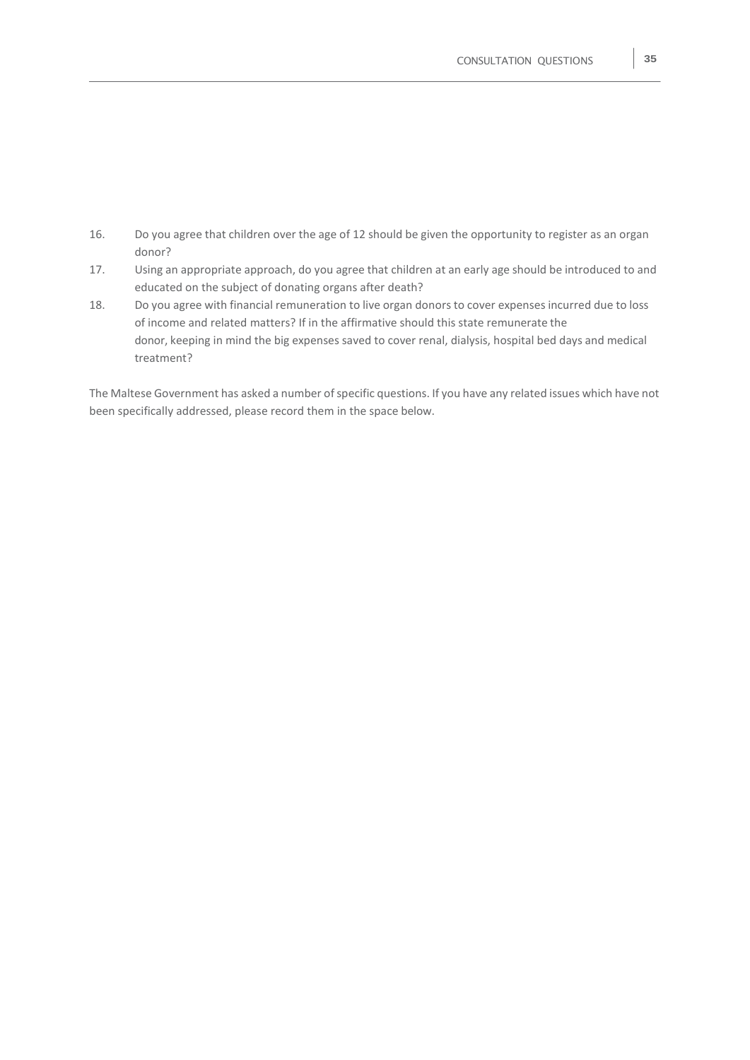- 16. Do you agree that children over the age of 12 should be given the opportunity to register as an organ donor?
- 17. Using an appropriate approach, do you agree that children at an early age should be introduced to and educated on the subject of donating organs after death?
- 18. Do you agree with financial remuneration to live organ donors to cover expenses incurred due to loss of income and related matters? If in the affirmative should this state remunerate the donor, keeping in mind the big expenses saved to cover renal, dialysis, hospital bed days and medical treatment?

The Maltese Government has asked a number of specific questions. If you have any related issues which have not been specifically addressed, please record them in the space below.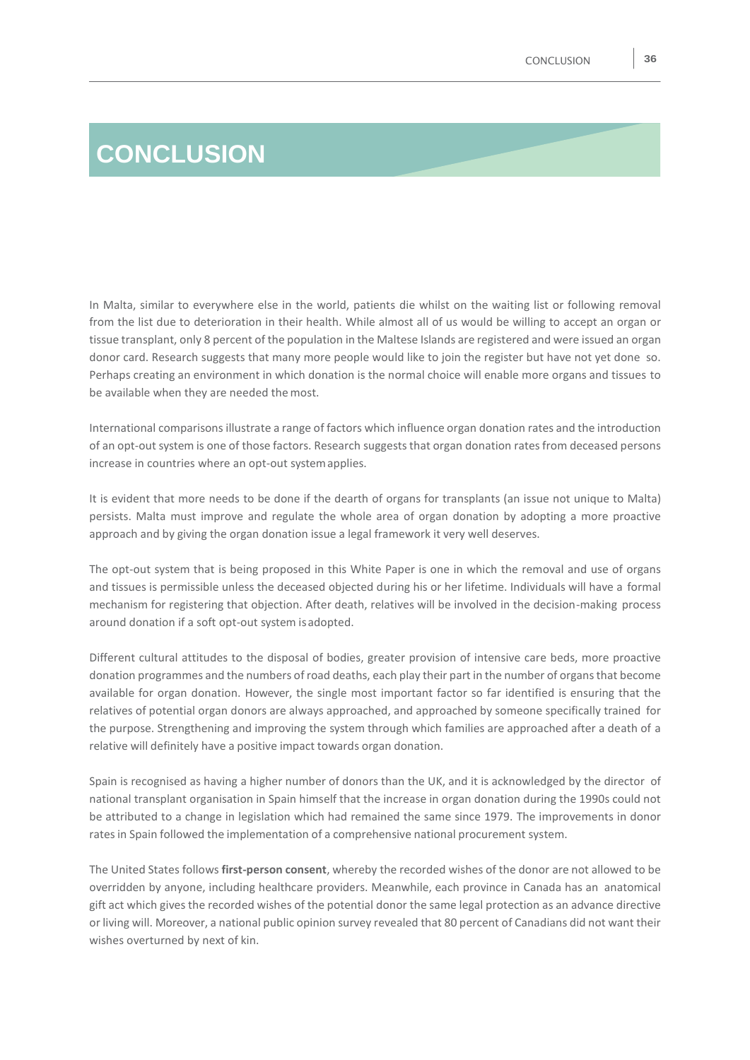# **CONCLUSION**

In Malta, similar to everywhere else in the world, patients die whilst on the waiting list or following removal from the list due to deterioration in their health. While almost all of us would be willing to accept an organ or tissue transplant, only 8 percent of the population in the Maltese Islands are registered and were issued an organ donor card. Research suggests that many more people would like to join the register but have not yet done so. Perhaps creating an environment in which donation is the normal choice will enable more organs and tissues to be available when they are needed the most.

International comparisons illustrate a range of factors which influence organ donation rates and the introduction of an opt-out system is one of those factors. Research suggeststhat organ donation ratesfrom deceased persons increase in countries where an opt-out systemapplies.

It is evident that more needs to be done if the dearth of organs for transplants (an issue not unique to Malta) persists. Malta must improve and regulate the whole area of organ donation by adopting a more proactive approach and by giving the organ donation issue a legal framework it very well deserves.

The opt-out system that is being proposed in this White Paper is one in which the removal and use of organs and tissues is permissible unless the deceased objected during his or her lifetime. Individuals will have a formal mechanism for registering that objection. After death, relatives will be involved in the decision-making process around donation if a soft opt-out system isadopted.

Different cultural attitudes to the disposal of bodies, greater provision of intensive care beds, more proactive donation programmes and the numbers of road deaths, each play their part in the number of organsthat become available for organ donation. However, the single most important factor so far identified is ensuring that the relatives of potential organ donors are always approached, and approached by someone specifically trained for the purpose. Strengthening and improving the system through which families are approached after a death of a relative will definitely have a positive impact towards organ donation.

Spain is recognised as having a higher number of donors than the UK, and it is acknowledged by the director of national transplant organisation in Spain himself that the increase in organ donation during the 1990s could not be attributed to a change in legislation which had remained the same since 1979. The improvements in donor ratesin Spain followed the implementation of a comprehensive national procurement system.

The United States follows **first-person consent**, whereby the recorded wishes of the donor are not allowed to be overridden by anyone, including healthcare providers. Meanwhile, each province in Canada has an anatomical gift act which gives the recorded wishes of the potential donor the same legal protection as an advance directive or living will. Moreover, a national public opinion survey revealed that 80 percent of Canadians did not want their wishes overturned by next of kin.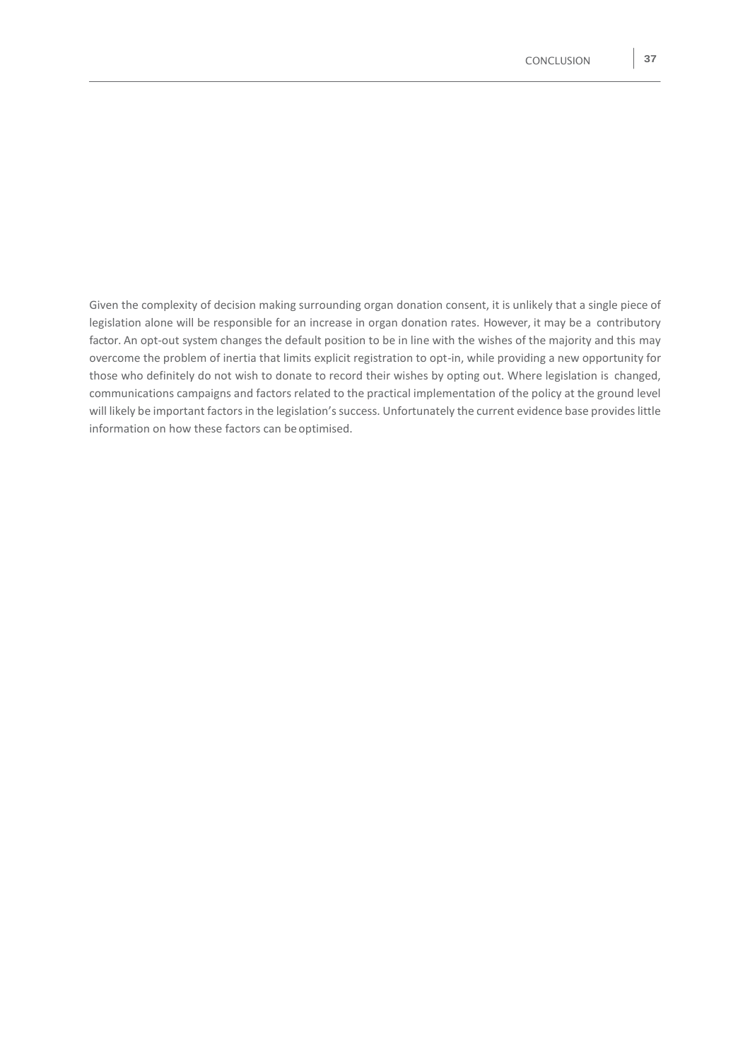Given the complexity of decision making surrounding organ donation consent, it is unlikely that a single piece of legislation alone will be responsible for an increase in organ donation rates. However, it may be a contributory factor. An opt-out system changes the default position to be in line with the wishes of the majority and this may overcome the problem of inertia that limits explicit registration to opt-in, while providing a new opportunity for those who definitely do not wish to donate to record their wishes by opting out. Where legislation is changed, communications campaigns and factors related to the practical implementation of the policy at the ground level will likely be important factors in the legislation's success. Unfortunately the current evidence base provides little information on how these factors can be optimised.